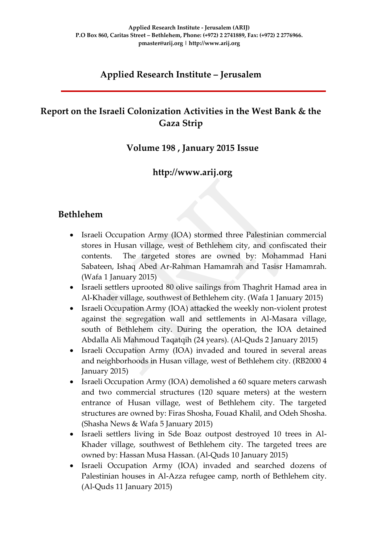# **Applied Research Institute – Jerusalem**

# **Report on the Israeli Colonization Activities in the West Bank & the Gaza Strip**

### **Volume 198 , January 2015 Issue**

### **http://www.arij.org**

### **Bethlehem**

- Israeli Occupation Army (IOA) stormed three Palestinian commercial stores in Husan village, west of Bethlehem city, and confiscated their contents. The targeted stores are owned by: Mohammad Hani Sabateen, Ishaq Abed Ar-Rahman Hamamrah and Tasisr Hamamrah. (Wafa 1 January 2015)
- Israeli settlers uprooted 80 olive sailings from Thaghrit Hamad area in Al-Khader village, southwest of Bethlehem city. (Wafa 1 January 2015)
- Israeli Occupation Army (IOA) attacked the weekly non-violent protest against the segregation wall and settlements in Al-Masara village, south of Bethlehem city. During the operation, the IOA detained Abdalla Ali Mahmoud Taqatqih (24 years). (Al-Quds 2 January 2015)
- Israeli Occupation Army (IOA) invaded and toured in several areas and neighborhoods in Husan village, west of Bethlehem city. (RB2000 4 January 2015)
- Israeli Occupation Army (IOA) demolished a 60 square meters carwash and two commercial structures (120 square meters) at the western entrance of Husan village, west of Bethlehem city. The targeted structures are owned by: Firas Shosha, Fouad Khalil, and Odeh Shosha. (Shasha News & Wafa 5 January 2015)
- Israeli settlers living in Sde Boaz outpost destroyed 10 trees in Al-Khader village, southwest of Bethlehem city. The targeted trees are owned by: Hassan Musa Hassan. (Al-Quds 10 January 2015)
- Israeli Occupation Army (IOA) invaded and searched dozens of Palestinian houses in Al-Azza refugee camp, north of Bethlehem city. (Al-Quds 11 January 2015)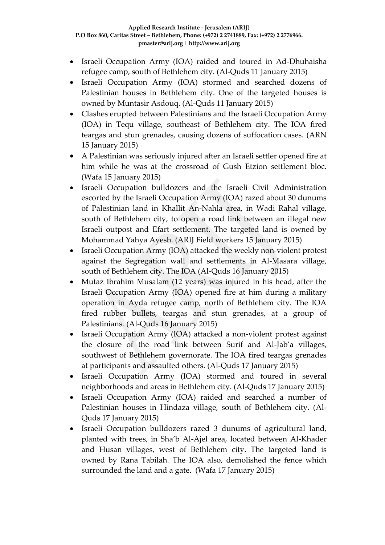- Israeli Occupation Army (IOA) raided and toured in Ad-Dhuhaisha refugee camp, south of Bethlehem city. (Al-Quds 11 January 2015)
- Israeli Occupation Army (IOA) stormed and searched dozens of Palestinian houses in Bethlehem city. One of the targeted houses is owned by Muntasir Asdouq. (Al-Quds 11 January 2015)
- Clashes erupted between Palestinians and the Israeli Occupation Army (IOA) in Tequ village, southeast of Bethlehem city. The IOA fired teargas and stun grenades, causing dozens of suffocation cases. (ARN 15 January 2015)
- A Palestinian was seriously injured after an Israeli settler opened fire at him while he was at the crossroad of Gush Etzion settlement bloc. (Wafa 15 January 2015)
- Israeli Occupation bulldozers and the Israeli Civil Administration escorted by the Israeli Occupation Army (IOA) razed about 30 dunums of Palestinian land in Khallit An-Nahla area, in Wadi Rahal village, south of Bethlehem city, to open a road link between an illegal new Israeli outpost and Efart settlement. The targeted land is owned by Mohammad Yahya Ayesh. (ARIJ Field workers 15 January 2015)
- Israeli Occupation Army (IOA) attacked the weekly non-violent protest against the Segregation wall and settlements in Al-Masara village, south of Bethlehem city. The IOA (Al-Quds 16 January 2015)
- Mutaz Ibrahim Musalam (12 years) was injured in his head, after the Israeli Occupation Army (IOA) opened fire at him during a military operation in Ayda refugee camp, north of Bethlehem city. The IOA fired rubber bullets, teargas and stun grenades, at a group of Palestinians. (Al-Quds 16 January 2015)
- Israeli Occupation Army (IOA) attacked a non-violent protest against the closure of the road link between Surif and Al-Jab'a villages, southwest of Bethlehem governorate. The IOA fired teargas grenades at participants and assaulted others. (Al-Quds 17 January 2015)
- Israeli Occupation Army (IOA) stormed and toured in several neighborhoods and areas in Bethlehem city. (Al-Quds 17 January 2015)
- Israeli Occupation Army (IOA) raided and searched a number of Palestinian houses in Hindaza village, south of Bethlehem city. (Al-Quds 17 January 2015)
- Israeli Occupation bulldozers razed 3 dunums of agricultural land, planted with trees, in Sha'b Al-Ajel area, located between Al-Khader and Husan villages, west of Bethlehem city. The targeted land is owned by Rana Tabilah. The IOA also, demolished the fence which surrounded the land and a gate. (Wafa 17 January 2015)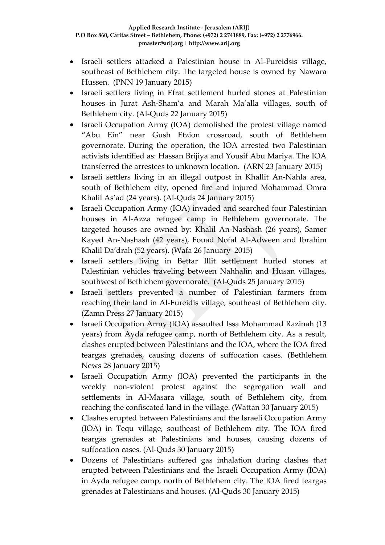- Israeli settlers attacked a Palestinian house in Al-Fureidsis village, southeast of Bethlehem city. The targeted house is owned by Nawara Hussen. (PNN 19 January 2015)
- Israeli settlers living in Efrat settlement hurled stones at Palestinian houses in Jurat Ash-Sham'a and Marah Ma'alla villages, south of Bethlehem city. (Al-Quds 22 January 2015)
- Israeli Occupation Army (IOA) demolished the protest village named "Abu Ein" near Gush Etzion crossroad, south of Bethlehem governorate. During the operation, the IOA arrested two Palestinian activists identified as: Hassan Brijiya and Yousif Abu Mariya. The IOA transferred the arrestees to unknown location. (ARN 23 January 2015)
- Israeli settlers living in an illegal outpost in Khallit An-Nahla area, south of Bethlehem city, opened fire and injured Mohammad Omra Khalil As'ad (24 years). (Al-Quds 24 January 2015)
- Israeli Occupation Army (IOA) invaded and searched four Palestinian houses in Al-Azza refugee camp in Bethlehem governorate. The targeted houses are owned by: Khalil An-Nashash (26 years), Samer Kayed An-Nashash (42 years), Fouad Nofal Al-Adween and Ibrahim Khalil Da'drah (52 years). (Wafa 26 January 2015)
- Israeli settlers living in Bettar Illit settlement hurled stones at Palestinian vehicles traveling between Nahhalin and Husan villages, southwest of Bethlehem governorate. (Al-Quds 25 January 2015)
- Israeli settlers prevented a number of Palestinian farmers from reaching their land in Al-Fureidis village, southeast of Bethlehem city. (Zamn Press 27 January 2015)
- Israeli Occupation Army (IOA) assaulted Issa Mohammad Razinah (13 years) from Ayda refugee camp, north of Bethlehem city. As a result, clashes erupted between Palestinians and the IOA, where the IOA fired teargas grenades, causing dozens of suffocation cases. (Bethlehem News 28 January 2015)
- Israeli Occupation Army (IOA) prevented the participants in the weekly non-violent protest against the segregation wall and settlements in Al-Masara village, south of Bethlehem city, from reaching the confiscated land in the village. (Wattan 30 January 2015)
- Clashes erupted between Palestinians and the Israeli Occupation Army (IOA) in Tequ village, southeast of Bethlehem city. The IOA fired teargas grenades at Palestinians and houses, causing dozens of suffocation cases. (Al-Quds 30 January 2015)
- Dozens of Palestinians suffered gas inhalation during clashes that erupted between Palestinians and the Israeli Occupation Army (IOA) in Ayda refugee camp, north of Bethlehem city. The IOA fired teargas grenades at Palestinians and houses. (Al-Quds 30 January 2015)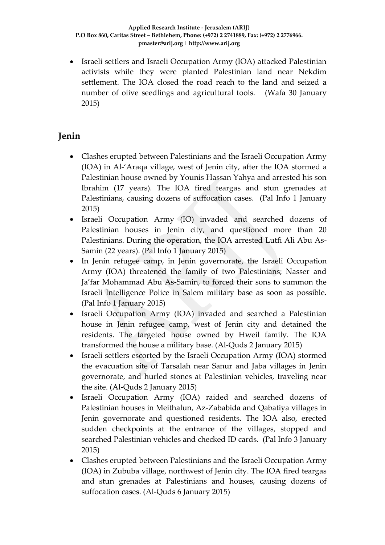Israeli settlers and Israeli Occupation Army (IOA) attacked Palestinian activists while they were planted Palestinian land near Nekdim settlement. The IOA closed the road reach to the land and seized a number of olive seedlings and agricultural tools. (Wafa 30 January 2015)

# **Jenin**

- Clashes erupted between Palestinians and the Israeli Occupation Army (IOA) in Al-'Araqa village, west of Jenin city, after the IOA stormed a Palestinian house owned by Younis Hassan Yahya and arrested his son Ibrahim (17 years). The IOA fired teargas and stun grenades at Palestinians, causing dozens of suffocation cases. (Pal Info 1 January 2015)
- Israeli Occupation Army (IO) invaded and searched dozens of Palestinian houses in Jenin city, and questioned more than 20 Palestinians. During the operation, the IOA arrested Lutfi Ali Abu As-Samin (22 years). (Pal Info 1 January 2015)
- In Jenin refugee camp, in Jenin governorate, the Israeli Occupation Army (IOA) threatened the family of two Palestinians; Nasser and Ja'far Mohammad Abu As-Samin, to forced their sons to summon the Israeli Intelligence Police in Salem military base as soon as possible. (Pal Info 1 January 2015)
- Israeli Occupation Army (IOA) invaded and searched a Palestinian house in Jenin refugee camp, west of Jenin city and detained the residents. The targeted house owned by Hweil family. The IOA transformed the house a military base. (Al-Quds 2 January 2015)
- Israeli settlers escorted by the Israeli Occupation Army (IOA) stormed the evacuation site of Tarsalah near Sanur and Jaba villages in Jenin governorate, and hurled stones at Palestinian vehicles, traveling near the site. (Al-Quds 2 January 2015)
- Israeli Occupation Army (IOA) raided and searched dozens of Palestinian houses in Meithalun, Az-Zababida and Qabatiya villages in Jenin governorate and questioned residents. The IOA also, erected sudden checkpoints at the entrance of the villages, stopped and searched Palestinian vehicles and checked ID cards. (Pal Info 3 January 2015)
- Clashes erupted between Palestinians and the Israeli Occupation Army (IOA) in Zububa village, northwest of Jenin city. The IOA fired teargas and stun grenades at Palestinians and houses, causing dozens of suffocation cases. (Al-Quds 6 January 2015)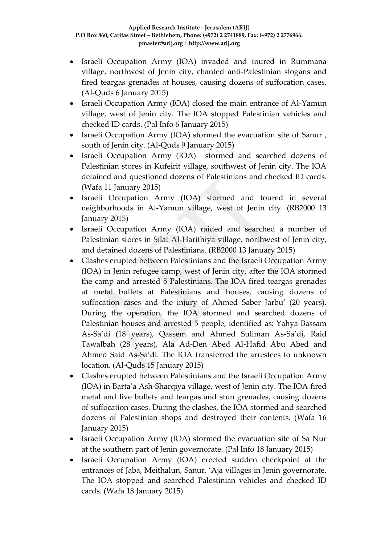- Israeli Occupation Army (IOA) invaded and toured in Rummana village, northwest of Jenin city, chanted anti-Palestinian slogans and fired teargas grenades at houses, causing dozens of suffocation cases. (Al-Quds 6 January 2015)
- Israeli Occupation Army (IOA) closed the main entrance of Al-Yamun village, west of Jenin city. The IOA stopped Palestinian vehicles and checked ID cards. (Pal Info 6 January 2015)
- Israeli Occupation Army (IOA) stormed the evacuation site of Sanur, south of Jenin city. (Al-Quds 9 January 2015)
- Israeli Occupation Army (IOA) stormed and searched dozens of Palestinian stores in Kufeirit village, southwest of Jenin city. The IOA detained and questioned dozens of Palestinians and checked ID cards. (Wafa 11 January 2015)
- Israeli Occupation Army (IOA) stormed and toured in several neighborhoods in Al-Yamun village, west of Jenin city. (RB2000 13 January 2015)
- Israeli Occupation Army (IOA) raided and searched a number of Palestinian stores in Silat Al-Harithiya village, northwest of Jenin city, and detained dozens of Palestinians. (RB2000 13 January 2015)
- Clashes erupted between Palestinians and the Israeli Occupation Army (IOA) in Jenin refugee camp, west of Jenin city, after the IOA stormed the camp and arrested 5 Palestinians. The IOA fired teargas grenades at metal bullets at Palestinians and houses, causing dozens of suffocation cases and the injury of Ahmed Saber Jarbu' (20 years). During the operation, the IOA stormed and searched dozens of Palestinian houses and arrested 5 people, identified as: Yahya Bassam As-Sa'di (18 years), Qassem and Ahmed Suliman As-Sa'di, Raid Tawalbah (28 years), Ala Ad-Den Abed Al-Hafid Abu Abed and Ahmed Said As-Sa'di. The IOA transferred the arrestees to unknown location. (Al-Quds 15 January 2015)
- Clashes erupted between Palestinians and the Israeli Occupation Army (IOA) in Barta'a Ash-Sharqiya village, west of Jenin city. The IOA fired metal and live bullets and teargas and stun grenades, causing dozens of suffocation cases. During the clashes, the IOA stormed and searched dozens of Palestinian shops and destroyed their contents. (Wafa 16 January 2015)
- Israeli Occupation Army (IOA) stormed the evacuation site of Sa Nur at the southern part of Jenin governorate. (Pal Info 18 January 2015)
- Israeli Occupation Army (IOA) erected sudden checkpoint at the entrances of Jaba, Meithalun, Sanur, 'Aja villages in Jenin governorate. The IOA stopped and searched Palestinian vehicles and checked ID cards. (Wafa 18 January 2015)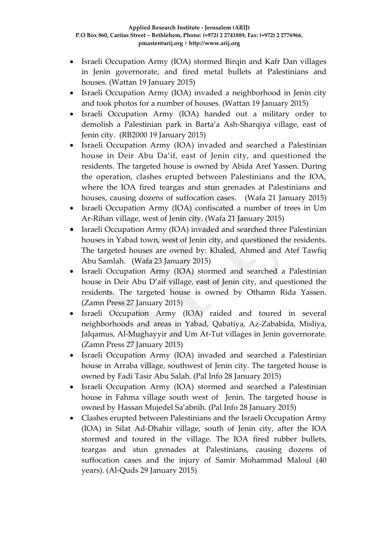- Israeli Occupation Army (IOA) stormed Birqin and Kafr Dan villages in Jenin governorate, and fired metal bullets at Palestinians and houses. (Wattan 19 January 2015)
- Israeli Occupation Army (IOA) invaded a neighborhood in Jenin city and took photos for a number of houses. (Wattan 19 January 2015)
- Israeli Occupation Army (IOA) handed out a military order to demolish a Palestinian park in Barta'a Ash-Sharqiya village, east of Jenin city. (RB2000 19 January 2015)
- Israeli Occupation Army (IOA) invaded and searched a Palestinian house in Deir Abu Da'if, east of Jenin city, and questioned the residents. The targeted house is owned by Abida Aref Yassen. During the operation, clashes erupted between Palestinians and the IOA, where the IOA fired teargas and stun grenades at Palestinians and houses, causing dozens of suffocation cases. (Wafa 21 January 2015)
- Israeli Occupation Army (IOA) confiscated a number of trees in Um Ar-Rihan village, west of Jenin city. (Wafa 21 January 2015)
- Israeli Occupation Army (IOA) invaded and searched three Palestinian houses in Yabad town, west of Jenin city, and questioned the residents. The targeted houses are owned by: Khaled, Ahmed and Atef Tawfiq Abu Samlah. (Wafa 23 January 2015)
- Israeli Occupation Army (IOA) stormed and searched a Palestinian house in Deir Abu D'aif village, east of Jenin city, and questioned the residents. The targeted house is owned by Othamn Rida Yassen. (Zamn Press 27 January 2015)
- Israeli Occupation Army (IOA) raided and toured in several neighborhoods and areas in Yabad, Qabatiya, Az-Zababida, Misliya, Jalqamus, Al-Mughayyir and Um At-Tut villages in Jenin governorate. (Zamn Press 27 January 2015)
- Israeli Occupation Army (IOA) invaded and searched a Palestinian house in Arraba village, southwest of Jenin city. The targeted house is owned by Fadi Tasir Abu Salah. (Pal Info 28 January 2015)
- Israeli Occupation Army (IOA) stormed and searched a Palestinian house in Fahma village south west of Jenin. The targeted house is owned by Hassan Mujedel Sa'abnih. (Pal Info 28 January 2015)
- Clashes erupted between Palestinians and the Israeli Occupation Army (IOA) in Silat Ad-Dhahir village, south of Jenin city, after the IOA stormed and toured in the village. The IOA fired rubber bullets, teargas and stun grenades at Palestinians, causing dozens of suffocation cases and the injury of Samir Mohammad Maloul (40 years). (Al-Quds 29 January 2015)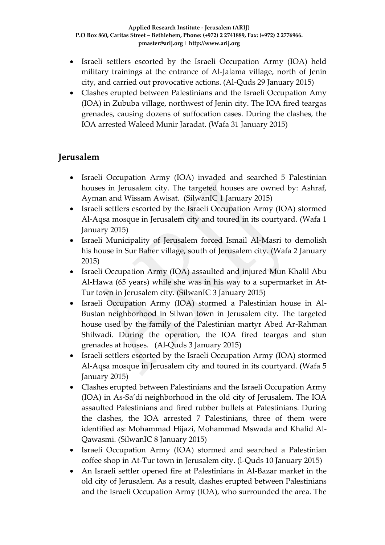- Israeli settlers escorted by the Israeli Occupation Army (IOA) held military trainings at the entrance of Al-Jalama village, north of Jenin city, and carried out provocative actions. (Al-Quds 29 January 2015)
- Clashes erupted between Palestinians and the Israeli Occupation Amy (IOA) in Zububa village, northwest of Jenin city. The IOA fired teargas grenades, causing dozens of suffocation cases. During the clashes, the IOA arrested Waleed Munir Jaradat. (Wafa 31 January 2015)

# **Jerusalem**

- Israeli Occupation Army (IOA) invaded and searched 5 Palestinian houses in Jerusalem city. The targeted houses are owned by: Ashraf, Ayman and Wissam Awisat. (SilwanIC 1 January 2015)
- Israeli settlers escorted by the Israeli Occupation Army (IOA) stormed Al-Aqsa mosque in Jerusalem city and toured in its courtyard. (Wafa 1 January 2015)
- Israeli Municipality of Jerusalem forced Ismail Al-Masri to demolish his house in Sur Baher village, south of Jerusalem city. (Wafa 2 January 2015)
- Israeli Occupation Army (IOA) assaulted and injured Mun Khalil Abu Al-Hawa (65 years) while she was in his way to a supermarket in At-Tur town in Jerusalem city. (SilwanIC 3 January 2015)
- Israeli Occupation Army (IOA) stormed a Palestinian house in Al-Bustan neighborhood in Silwan town in Jerusalem city. The targeted house used by the family of the Palestinian martyr Abed Ar-Rahman Shilwadi. During the operation, the IOA fired teargas and stun grenades at houses. (Al-Quds 3 January 2015)
- Israeli settlers escorted by the Israeli Occupation Army (IOA) stormed Al-Aqsa mosque in Jerusalem city and toured in its courtyard. (Wafa 5 January 2015)
- Clashes erupted between Palestinians and the Israeli Occupation Army (IOA) in As-Sa'di neighborhood in the old city of Jerusalem. The IOA assaulted Palestinians and fired rubber bullets at Palestinians. During the clashes, the IOA arrested 7 Palestinians, three of them were identified as: Mohammad Hijazi, Mohammad Mswada and Khalid Al-Qawasmi. (SilwanIC 8 January 2015)
- Israeli Occupation Army (IOA) stormed and searched a Palestinian coffee shop in At-Tur town in Jerusalem city. (l-Quds 10 January 2015)
- An Israeli settler opened fire at Palestinians in Al-Bazar market in the old city of Jerusalem. As a result, clashes erupted between Palestinians and the Israeli Occupation Army (IOA), who surrounded the area. The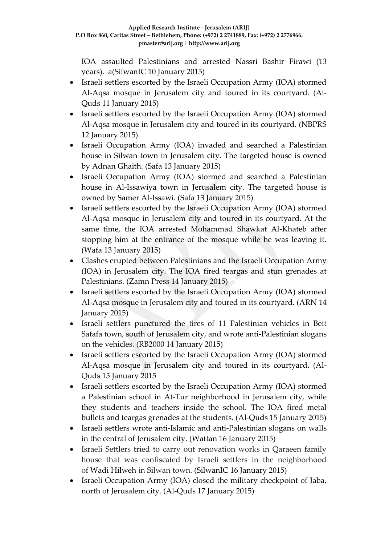IOA assaulted Palestinians and arrested Nassri Bashir Firawi (13 years). a(SilwanIC 10 January 2015)

- Israeli settlers escorted by the Israeli Occupation Army (IOA) stormed Al-Aqsa mosque in Jerusalem city and toured in its courtyard. (Al-Quds 11 January 2015)
- Israeli settlers escorted by the Israeli Occupation Army (IOA) stormed Al-Aqsa mosque in Jerusalem city and toured in its courtyard. (NBPRS 12 January 2015)
- Israeli Occupation Army (IOA) invaded and searched a Palestinian house in Silwan town in Jerusalem city. The targeted house is owned by Adnan Ghaith. (Safa 13 January 2015)
- Israeli Occupation Army (IOA) stormed and searched a Palestinian house in Al-Issawiya town in Jerusalem city. The targeted house is owned by Samer Al-Issawi. (Safa 13 January 2015)
- Israeli settlers escorted by the Israeli Occupation Army (IOA) stormed Al-Aqsa mosque in Jerusalem city and toured in its courtyard. At the same time, the IOA arrested Mohammad Shawkat Al-Khateb after stopping him at the entrance of the mosque while he was leaving it. (Wafa 13 January 2015)
- Clashes erupted between Palestinians and the Israeli Occupation Army (IOA) in Jerusalem city. The IOA fired teargas and stun grenades at Palestinians. (Zamn Press 14 January 2015)
- Israeli settlers escorted by the Israeli Occupation Army (IOA) stormed Al-Aqsa mosque in Jerusalem city and toured in its courtyard. (ARN 14 January 2015)
- Israeli settlers punctured the tires of 11 Palestinian vehicles in Beit Safafa town, south of Jerusalem city, and wrote anti-Palestinian slogans on the vehicles. (RB2000 14 January 2015)
- Israeli settlers escorted by the Israeli Occupation Army (IOA) stormed Al-Aqsa mosque in Jerusalem city and toured in its courtyard. (Al-Quds 15 January 2015
- Israeli settlers escorted by the Israeli Occupation Army (IOA) stormed a Palestinian school in At-Tur neighborhood in Jerusalem city, while they students and teachers inside the school. The IOA fired metal bullets and teargas grenades at the students. (Al-Quds 15 January 2015)
- Israeli settlers wrote anti-Islamic and anti-Palestinian slogans on walls in the central of Jerusalem city. (Wattan 16 January 2015)
- Israeli Settlers tried to carry out renovation works in Qaraeen family house that was confiscated by Israeli settlers in the neighborhood of [Wadi Hilweh](http://silwanic.net/?tag=wadi-hilweh) in Silwan town. (SilwanIC 16 January 2015)
- Israeli Occupation Army (IOA) closed the military checkpoint of Jaba, north of Jerusalem city. (Al-Quds 17 January 2015)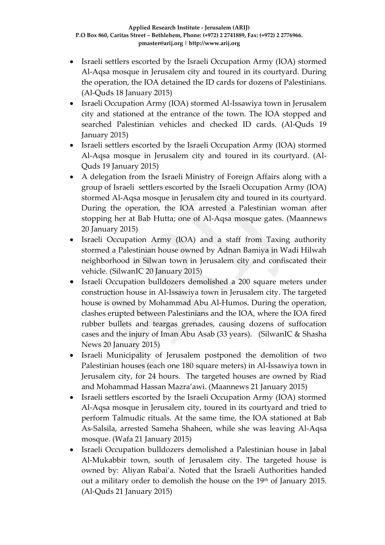- Israeli settlers escorted by the Israeli Occupation Army (IOA) stormed Al-Aqsa mosque in Jerusalem city and toured in its courtyard. During the operation, the IOA detained the ID cards for dozens of Palestinians. (Al-Quds 18 January 2015)
- Israeli Occupation Army (IOA) stormed Al-Issawiya town in Jerusalem city and stationed at the entrance of the town. The IOA stopped and searched Palestinian vehicles and checked ID cards. (Al-Quds 19 January 2015)
- Israeli settlers escorted by the Israeli Occupation Army (IOA) stormed Al-Aqsa mosque in Jerusalem city and toured in its courtyard. (Al-Quds 19 January 2015)
- A delegation from the Israeli Ministry of Foreign Affairs along with a group of Israeli settlers escorted by the Israeli Occupation Army (IOA) stormed Al-Aqsa mosque in Jerusalem city and toured in its courtyard. During the operation, the IOA arrested a Palestinian woman after stopping her at Bab Hutta; one of Al-Aqsa mosque gates. (Maannews 20 January 2015)
- Israeli Occupation Army (IOA) and a staff from Taxing authority stormed a Palestinian house owned by Adnan Bamiya in Wadi Hilwah neighborhood in Silwan town in Jerusalem city and confiscated their vehicle. (SilwanIC 20 January 2015)
- Israeli Occupation bulldozers demolished a 200 square meters under construction house in Al-Issawiya town in Jerusalem city. The targeted house is owned by Mohammad Abu Al-Humos. During the operation, clashes erupted between Palestinians and the IOA, where the IOA fired rubber bullets and teargas grenades, causing dozens of suffocation cases and the injury of Iman Abu Asab (33 years). (SilwanIC & Shasha News 20 January 2015)
- Israeli Municipality of Jerusalem postponed the demolition of two Palestinian houses (each one 180 square meters) in Al-Issawiya town in Jerusalem city, for 24 hours. The targeted houses are owned by Riad and Mohammad Hassan Mazra'awi. (Maannews 21 January 2015)
- Israeli settlers escorted by the Israeli Occupation Army (IOA) stormed Al-Aqsa mosque in Jerusalem city, toured in its courtyard and tried to perform Talmudic rituals. At the same time, the IOA stationed at Bab As-Salsila, arrested Sameha Shaheen, while she was leaving Al-Aqsa mosque. (Wafa 21 January 2015)
- Israeli Occupation bulldozers demolished a Palestinian house in Jabal Al-Mukabbir town, south of Jerusalem city. The targeted house is owned by: Aliyan Rabai'a. Noted that the Israeli Authorities handed out a military order to demolish the house on the 19<sup>th</sup> of January 2015. (Al-Quds 21 January 2015)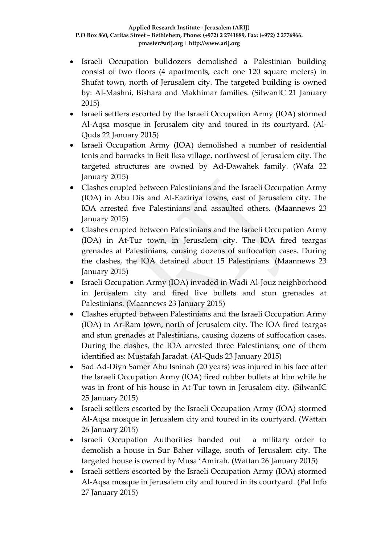- Israeli Occupation bulldozers demolished a Palestinian building consist of two floors (4 apartments, each one 120 square meters) in Shufat town, north of Jerusalem city. The targeted building is owned by: Al-Mashni, Bishara and Makhimar families. (SilwanIC 21 January 2015)
- Israeli settlers escorted by the Israeli Occupation Army (IOA) stormed Al-Aqsa mosque in Jerusalem city and toured in its courtyard. (Al-Quds 22 January 2015)
- Israeli Occupation Army (IOA) demolished a number of residential tents and barracks in Beit Iksa village, northwest of Jerusalem city. The targeted structures are owned by Ad-Dawahek family. (Wafa 22 January 2015)
- Clashes erupted between Palestinians and the Israeli Occupation Army (IOA) in Abu Dis and Al-Eaziriya towns, east of Jerusalem city. The IOA arrested five Palestinians and assaulted others. (Maannews 23 January 2015)
- Clashes erupted between Palestinians and the Israeli Occupation Army (IOA) in At-Tur town, in Jerusalem city. The IOA fired teargas grenades at Palestinians, causing dozens of suffocation cases. During the clashes, the IOA detained about 15 Palestinians. (Maannews 23 January 2015)
- Israeli Occupation Army (IOA) invaded in Wadi Al-Jouz neighborhood in Jerusalem city and fired live bullets and stun grenades at Palestinians. (Maannews 23 January 2015)
- Clashes erupted between Palestinians and the Israeli Occupation Army (IOA) in Ar-Ram town, north of Jerusalem city. The IOA fired teargas and stun grenades at Palestinians, causing dozens of suffocation cases. During the clashes, the IOA arrested three Palestinians; one of them identified as: Mustafah Jaradat. (Al-Quds 23 January 2015)
- Sad Ad-Diyn Samer Abu Isninah (20 years) was injured in his face after the Israeli Occupation Army (IOA) fired rubber bullets at him while he was in front of his house in At-Tur town in Jerusalem city. (SilwanIC 25 January 2015)
- Israeli settlers escorted by the Israeli Occupation Army (IOA) stormed Al-Aqsa mosque in Jerusalem city and toured in its courtyard. (Wattan 26 January 2015)
- Israeli Occupation Authorities handed out a military order to demolish a house in Sur Baher village, south of Jerusalem city. The targeted house is owned by Musa 'Amirah. (Wattan 26 January 2015)
- Israeli settlers escorted by the Israeli Occupation Army (IOA) stormed Al-Aqsa mosque in Jerusalem city and toured in its courtyard. (Pal Info 27 January 2015)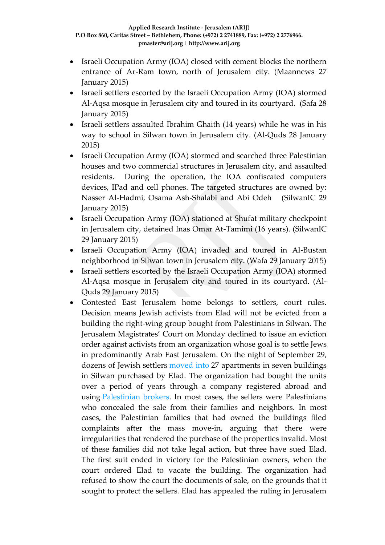- Israeli Occupation Army (IOA) closed with cement blocks the northern entrance of Ar-Ram town, north of Jerusalem city. (Maannews 27 January 2015)
- Israeli settlers escorted by the Israeli Occupation Army (IOA) stormed Al-Aqsa mosque in Jerusalem city and toured in its courtyard. (Safa 28 January 2015)
- Israeli settlers assaulted Ibrahim Ghaith (14 years) while he was in his way to school in Silwan town in Jerusalem city. (Al-Quds 28 January 2015)
- Israeli Occupation Army (IOA) stormed and searched three Palestinian houses and two commercial structures in Jerusalem city, and assaulted residents. During the operation, the IOA confiscated computers devices, IPad and cell phones. The targeted structures are owned by: Nasser Al-Hadmi, Osama Ash-Shalabi and Abi Odeh (SilwanIC 29 January 2015)
- Israeli Occupation Army (IOA) stationed at Shufat military checkpoint in Jerusalem city, detained Inas Omar At-Tamimi (16 years). (SilwanIC 29 January 2015)
- Israeli Occupation Army (IOA) invaded and toured in Al-Bustan neighborhood in Silwan town in Jerusalem city. (Wafa 29 January 2015)
- Israeli settlers escorted by the Israeli Occupation Army (IOA) stormed Al-Aqsa mosque in Jerusalem city and toured in its courtyard. (Al-Quds 29 January 2015)
- Contested East Jerusalem home belongs to settlers, court rules. Decision means Jewish activists from Elad will not be evicted from a building the right-wing group bought from Palestinians in Silwan. The Jerusalem Magistrates' Court on Monday declined to issue an eviction order against activists from an organization whose goal is to settle Jews in predominantly Arab East Jerusalem. On the night of September 29, dozens of Jewish settlers [moved into](http://www.haaretz.com/news/national/.premium-1.618470) 27 apartments in seven buildings in Silwan purchased by Elad. The organization had bought the units over a period of years through a company registered abroad and using [Palestinian brokers.](http://www.haaretz.com/news/national/.premium-1.619025) In most cases, the sellers were Palestinians who concealed the sale from their families and neighbors. In most cases, the Palestinian families that had owned the buildings filed complaints after the mass move-in, arguing that there were irregularities that rendered the purchase of the properties invalid. Most of these families did not take legal action, but three have sued Elad. The first suit ended in victory for the Palestinian owners, when the court ordered Elad to vacate the building. The organization had refused to show the court the documents of sale, on the grounds that it sought to protect the sellers. Elad has appealed the ruling in Jerusalem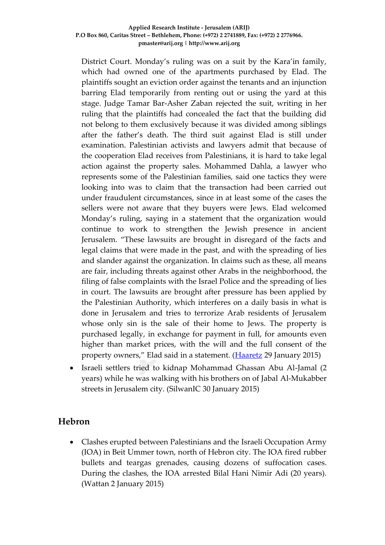District Court. Monday's ruling was on a suit by the Kara'in family, which had owned one of the apartments purchased by Elad. The plaintiffs sought an eviction order against the tenants and an injunction barring Elad temporarily from renting out or using the yard at this stage. Judge Tamar Bar-Asher Zaban rejected the suit, writing in her ruling that the plaintiffs had concealed the fact that the building did not belong to them exclusively because it was divided among siblings after the father's death. The third suit against Elad is still under examination. Palestinian activists and lawyers admit that because of the cooperation Elad receives from Palestinians, it is hard to take legal action against the property sales. Mohammed Dahla, a lawyer who represents some of the Palestinian families, said one tactics they were looking into was to claim that the transaction had been carried out under fraudulent circumstances, since in at least some of the cases the sellers were not aware that they buyers were Jews. Elad welcomed Monday's ruling, saying in a statement that the organization would continue to work to strengthen the Jewish presence in ancient Jerusalem. "These lawsuits are brought in disregard of the facts and legal claims that were made in the past, and with the spreading of lies and slander against the organization. In claims such as these, all means are fair, including threats against other Arabs in the neighborhood, the filing of false complaints with the Israel Police and the spreading of lies in court. The lawsuits are brought after pressure has been applied by the Palestinian Authority, which interferes on a daily basis in what is done in Jerusalem and tries to terrorize Arab residents of Jerusalem whose only sin is the sale of their home to Jews. The property is purchased legally, in exchange for payment in full, for amounts even higher than market prices, with the will and the full consent of the property owners," Elad said in a statement. [\(Haaretz](http://www.haaretz.com/news/national/.premium-1.639573) 29 January 2015)

 Israeli settlers tried to kidnap Mohammad Ghassan Abu Al-Jamal (2 years) while he was walking with his brothers on of Jabal Al-Mukabber streets in Jerusalem city. (SilwanIC 30 January 2015)

### **Hebron**

 Clashes erupted between Palestinians and the Israeli Occupation Army (IOA) in Beit Ummer town, north of Hebron city. The IOA fired rubber bullets and teargas grenades, causing dozens of suffocation cases. During the clashes, the IOA arrested Bilal Hani Nimir Adi (20 years). (Wattan 2 January 2015)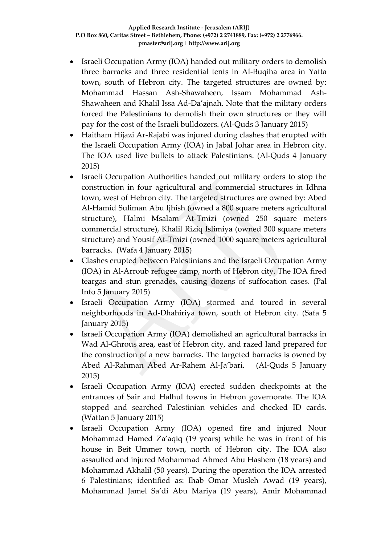- Israeli Occupation Army (IOA) handed out military orders to demolish three barracks and three residential tents in Al-Buqiha area in Yatta town, south of Hebron city. The targeted structures are owned by: Mohammad Hassan Ash-Shawaheen, Issam Mohammad Ash-Shawaheen and Khalil Issa Ad-Da'ajnah. Note that the military orders forced the Palestinians to demolish their own structures or they will pay for the cost of the Israeli bulldozers. (Al-Quds 3 January 2015)
- Haitham Hijazi Ar-Rajabi was injured during clashes that erupted with the Israeli Occupation Army (IOA) in Jabal Johar area in Hebron city. The IOA used live bullets to attack Palestinians. (Al-Quds 4 January 2015)
- Israeli Occupation Authorities handed out military orders to stop the construction in four agricultural and commercial structures in Idhna town, west of Hebron city. The targeted structures are owned by: Abed Al-Hamid Suliman Abu Ijhish (owned a 800 square meters agricultural structure), Halmi Msalam At-Tmizi (owned 250 square meters commercial structure), Khalil Riziq Islimiya (owned 300 square meters structure) and Yousif At-Tmizi (owned 1000 square meters agricultural barracks. (Wafa 4 January 2015)
- Clashes erupted between Palestinians and the Israeli Occupation Army (IOA) in Al-Arroub refugee camp, north of Hebron city. The IOA fired teargas and stun grenades, causing dozens of suffocation cases. (Pal Info 5 January 2015)
- Israeli Occupation Army (IOA) stormed and toured in several neighborhoods in Ad-Dhahiriya town, south of Hebron city. (Safa 5 January 2015)
- Israeli Occupation Army (IOA) demolished an agricultural barracks in Wad Al-Ghrous area, east of Hebron city, and razed land prepared for the construction of a new barracks. The targeted barracks is owned by Abed Al-Rahman Abed Ar-Rahem Al-Ja'bari. (Al-Quds 5 January 2015)
- Israeli Occupation Army (IOA) erected sudden checkpoints at the entrances of Sair and Halhul towns in Hebron governorate. The IOA stopped and searched Palestinian vehicles and checked ID cards. (Wattan 5 January 2015)
- Israeli Occupation Army (IOA) opened fire and injured Nour Mohammad Hamed Za'aqiq (19 years) while he was in front of his house in Beit Ummer town, north of Hebron city. The IOA also assaulted and injured Mohammad Ahmed Abu Hashem (18 years) and Mohammad Akhalil (50 years). During the operation the IOA arrested 6 Palestinians; identified as: Ihab Omar Musleh Awad (19 years), Mohammad Jamel Sa'di Abu Mariya (19 years), Amir Mohammad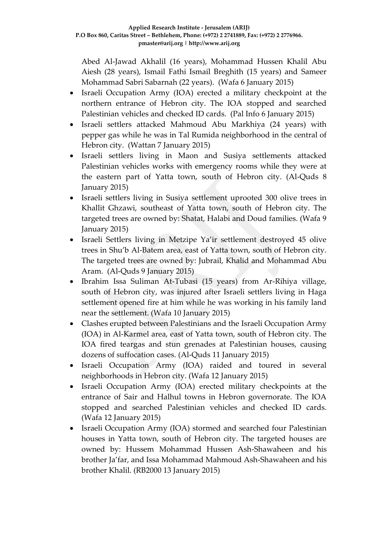Abed Al-Jawad Akhalil (16 years), Mohammad Hussen Khalil Abu Aiesh (28 years), Ismail Fathi Ismail Breghith (15 years) and Sameer Mohammad Sabri Sabarnah (22 years). (Wafa 6 January 2015)

- Israeli Occupation Army (IOA) erected a military checkpoint at the northern entrance of Hebron city. The IOA stopped and searched Palestinian vehicles and checked ID cards. (Pal Info 6 January 2015)
- Israeli settlers attacked Mahmoud Abu Markhiya (24 years) with pepper gas while he was in Tal Rumida neighborhood in the central of Hebron city. (Wattan 7 January 2015)
- Israeli settlers living in Maon and Susiya settlements attacked Palestinian vehicles works with emergency rooms while they were at the eastern part of Yatta town, south of Hebron city. (Al-Quds 8 January 2015)
- Israeli settlers living in Susiya settlement uprooted 300 olive trees in Khallit Ghzawi, southeast of Yatta town, south of Hebron city. The targeted trees are owned by: Shatat, Halabi and Doud families. (Wafa 9 January 2015)
- Israeli Settlers living in Metzipe Ya'ir settlement destroyed 45 olive trees in Shu'b Al-Batem area, east of Yatta town, south of Hebron city. The targeted trees are owned by: Jubrail, Khalid and Mohammad Abu Aram. (Al-Quds 9 January 2015)
- Ibrahim Issa Suliman At-Tubasi (15 years) from Ar-Rihiya village, south of Hebron city, was injured after Israeli settlers living in Haga settlement opened fire at him while he was working in his family land near the settlement. (Wafa 10 January 2015)
- Clashes erupted between Palestinians and the Israeli Occupation Army (IOA) in Al-Karmel area, east of Yatta town, south of Hebron city. The IOA fired teargas and stun grenades at Palestinian houses, causing dozens of suffocation cases. (Al-Quds 11 January 2015)
- Israeli Occupation Army (IOA) raided and toured in several neighborhoods in Hebron city. (Wafa 12 January 2015)
- Israeli Occupation Army (IOA) erected military checkpoints at the entrance of Sair and Halhul towns in Hebron governorate. The IOA stopped and searched Palestinian vehicles and checked ID cards. (Wafa 12 January 2015)
- Israeli Occupation Army (IOA) stormed and searched four Palestinian houses in Yatta town, south of Hebron city. The targeted houses are owned by: Hussem Mohammad Hussen Ash-Shawaheen and his brother Ja'far, and Issa Mohammad Mahmoud Ash-Shawaheen and his brother Khalil. (RB2000 13 January 2015)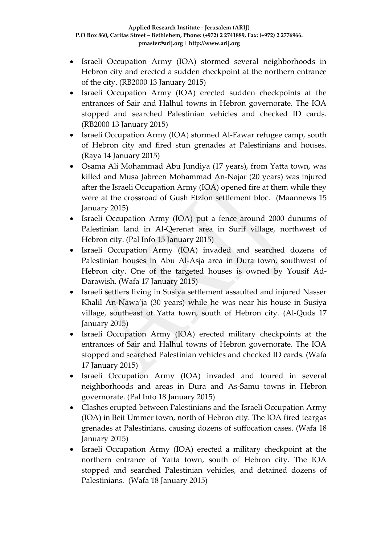- Israeli Occupation Army (IOA) stormed several neighborhoods in Hebron city and erected a sudden checkpoint at the northern entrance of the city. (RB2000 13 January 2015)
- Israeli Occupation Army (IOA) erected sudden checkpoints at the entrances of Sair and Halhul towns in Hebron governorate. The IOA stopped and searched Palestinian vehicles and checked ID cards. (RB2000 13 January 2015)
- Israeli Occupation Army (IOA) stormed Al-Fawar refugee camp, south of Hebron city and fired stun grenades at Palestinians and houses. (Raya 14 January 2015)
- Osama Ali Mohammad Abu Jundiya (17 years), from Yatta town, was killed and Musa Jabreen Mohammad An-Najar (20 years) was injured after the Israeli Occupation Army (IOA) opened fire at them while they were at the crossroad of Gush Etzion settlement bloc. (Maannews 15 January 2015)
- Israeli Occupation Army (IOA) put a fence around 2000 dunums of Palestinian land in Al-Qerenat area in Surif village, northwest of Hebron city. (Pal Info 15 January 2015)
- Israeli Occupation Army (IOA) invaded and searched dozens of Palestinian houses in Abu Al-Asja area in Dura town, southwest of Hebron city. One of the targeted houses is owned by Yousif Ad-Darawish. (Wafa 17 January 2015)
- Israeli settlers living in Susiya settlement assaulted and injured Nasser Khalil An-Nawa'ja (30 years) while he was near his house in Susiya village, southeast of Yatta town, south of Hebron city. (Al-Quds 17 January 2015)
- Israeli Occupation Army (IOA) erected military checkpoints at the entrances of Sair and Halhul towns of Hebron governorate. The IOA stopped and searched Palestinian vehicles and checked ID cards. (Wafa 17 January 2015)
- Israeli Occupation Army (IOA) invaded and toured in several neighborhoods and areas in Dura and As-Samu towns in Hebron governorate. (Pal Info 18 January 2015)
- Clashes erupted between Palestinians and the Israeli Occupation Army (IOA) in Beit Ummer town, north of Hebron city. The IOA fired teargas grenades at Palestinians, causing dozens of suffocation cases. (Wafa 18 January 2015)
- Israeli Occupation Army (IOA) erected a military checkpoint at the northern entrance of Yatta town, south of Hebron city. The IOA stopped and searched Palestinian vehicles, and detained dozens of Palestinians. (Wafa 18 January 2015)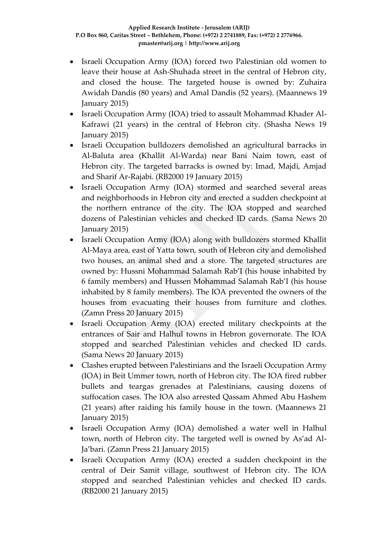- Israeli Occupation Army (IOA) forced two Palestinian old women to leave their house at Ash-Shuhada street in the central of Hebron city, and closed the house. The targeted house is owned by: Zuhaira Awidah Dandis (80 years) and Amal Dandis (52 years). (Maannews 19 January 2015)
- Israeli Occupation Army (IOA) tried to assault Mohammad Khader Al-Kafrawi (21 years) in the central of Hebron city. (Shasha News 19 January 2015)
- Israeli Occupation bulldozers demolished an agricultural barracks in Al-Baluta area (Khallit Al-Warda) near Bani Naim town, east of Hebron city. The targeted barracks is owned by: Imad, Majdi, Amjad and Sharif Ar-Rajabi. (RB2000 19 January 2015)
- Israeli Occupation Army (IOA) stormed and searched several areas and neighborhoods in Hebron city and erected a sudden checkpoint at the northern entrance of the city. The IOA stopped and searched dozens of Palestinian vehicles and checked ID cards. (Sama News 20 January 2015)
- Israeli Occupation Army (IOA) along with bulldozers stormed Khallit Al-Maya area, east of Yatta town, south of Hebron city and demolished two houses, an animal shed and a store. The targeted structures are owned by: Hussni Mohammad Salamah Rab'I (his house inhabited by 6 family members) and Hussen Mohammad Salamah Rab'I (his house inhabited by 8 family members). The IOA prevented the owners of the houses from evacuating their houses from furniture and clothes. (Zamn Press 20 January 2015)
- Israeli Occupation Army (IOA) erected military checkpoints at the entrances of Sair and Halhul towns in Hebron governorate. The IOA stopped and searched Palestinian vehicles and checked ID cards. (Sama News 20 January 2015)
- Clashes erupted between Palestinians and the Israeli Occupation Army (IOA) in Beit Ummer town, north of Hebron city. The IOA fired rubber bullets and teargas grenades at Palestinians, causing dozens of suffocation cases. The IOA also arrested Qassam Ahmed Abu Hashem (21 years) after raiding his family house in the town. (Maannews 21 January 2015)
- Israeli Occupation Army (IOA) demolished a water well in Halhul town, north of Hebron city. The targeted well is owned by As'ad Al-Ja'bari. (Zamn Press 21 January 2015)
- Israeli Occupation Army (IOA) erected a sudden checkpoint in the central of Deir Samit village, southwest of Hebron city. The IOA stopped and searched Palestinian vehicles and checked ID cards. (RB2000 21 January 2015)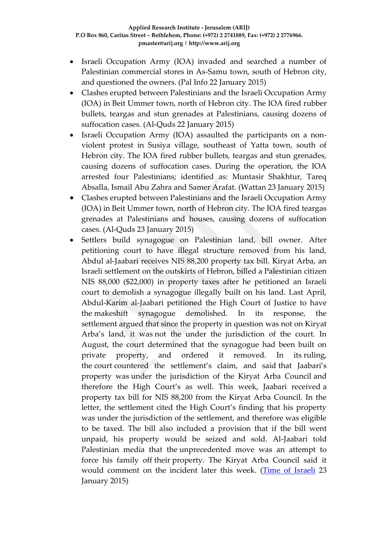- Israeli Occupation Army (IOA) invaded and searched a number of Palestinian commercial stores in As-Samu town, south of Hebron city, and questioned the owners. (Pal Info 22 January 2015)
- Clashes erupted between Palestinians and the Israeli Occupation Army (IOA) in Beit Ummer town, north of Hebron city. The IOA fired rubber bullets, teargas and stun grenades at Palestinians, causing dozens of suffocation cases. (Al-Quds 22 January 2015)
- Israeli Occupation Army (IOA) assaulted the participants on a nonviolent protest in Susiya village, southeast of Yatta town, south of Hebron city. The IOA fired rubber bullets, teargas and stun grenades, causing dozens of suffocation cases. During the operation, the IOA arrested four Palestinians; identified as: Muntasir Shakhtur, Tareq Absalla, Ismail Abu Zahra and Samer Arafat. (Wattan 23 January 2015)
- Clashes erupted between Palestinians and the Israeli Occupation Army (IOA) in Beit Ummer town, north of Hebron city. The IOA fired teargas grenades at Palestinians and houses, causing dozens of suffocation cases. (Al-Quds 23 January 2015)
- Settlers build synagogue on Palestinian land, bill owner. After petitioning court to have illegal structure removed from his land, Abdul al-Jaabari receives NIS 88,200 property tax bill. Kiryat Arba, an Israeli settlement on the outskirts of Hebron, billed a Palestinian citizen NIS 88,000 (\$22,000) in property taxes after he petitioned an Israeli court to demolish a synagogue illegally built on his land. Last April, Abdul-Karim al-Jaabari petitioned the High Court of Justice to have the makeshift synagogue demolished. In its response, the settlement argued that since the property in question was not on Kiryat Arba's land, it was not the under the jurisdiction of the court. In August, the court determined that the synagogue had been built on private property, and ordered it removed. In its ruling, the court countered the settlement's claim, and said that Jaabari's property was under the jurisdiction of the Kiryat Arba Council and therefore the High Court's as well. This week, Jaabari received a property tax bill for NIS 88,200 from the Kiryat Arba Council. In the letter, the settlement cited the High Court's finding that his property was under the jurisdiction of the settlement, and therefore was eligible to be taxed. The bill also included a provision that if the bill went unpaid, his property would be seized and sold. Al-Jaabari told Palestinian media that the unprecedented move was an attempt to force his family off their property. The Kiryat Arba Council said it would comment on the incident later this week. [\(Time of Israeli](http://www.timesofisrael.com/settlers-build-synagogue-on-palestinian-land-bill-owner/) 23 January 2015)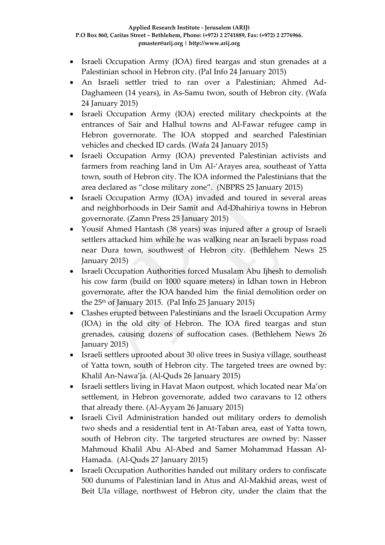- Israeli Occupation Army (IOA) fired teargas and stun grenades at a Palestinian school in Hebron city. (Pal Info 24 January 2015)
- An Israeli settler tried to ran over a Palestinian; Ahmed Ad-Daghameen (14 years), in As-Samu twon, south of Hebron city. (Wafa 24 January 2015)
- Israeli Occupation Army (IOA) erected military checkpoints at the entrances of Sair and Halhul towns and Al-Fawar refugee camp in Hebron governorate. The IOA stopped and searched Palestinian vehicles and checked ID cards. (Wafa 24 January 2015)
- Israeli Occupation Army (IOA) prevented Palestinian activists and farmers from reaching land in Um Al-'Arayes area, southeast of Yatta town, south of Hebron city. The IOA informed the Palestinians that the area declared as "close military zone". (NBPRS 25 January 2015)
- Israeli Occupation Army (IOA) invaded and toured in several areas and neighborhoods in Deir Samit and Ad-Dhahiriya towns in Hebron governorate. (Zamn Press 25 January 2015)
- Yousif Ahmed Hantash (38 years) was injured after a group of Israeli settlers attacked him while he was walking near an Israeli bypass road near Dura town, southwest of Hebron city. (Bethlehem News 25 January 2015)
- Israeli Occupation Authorities forced Musalam Abu Ijhesh to demolish his cow farm (build on 1000 square meters) in Idhan town in Hebron governorate, after the IOA handed him the finial demolition order on the  $25<sup>th</sup>$  of January 2015. (Pal Info 25 January 2015)
- Clashes erupted between Palestinians and the Israeli Occupation Army (IOA) in the old city of Hebron. The IOA fired teargas and stun grenades, causing dozens of suffocation cases. (Bethlehem News 26 January 2015)
- Israeli settlers uprooted about 30 olive trees in Susiya village, southeast of Yatta town, south of Hebron city. The targeted trees are owned by: Khalil An-Nawa'ja. (Al-Quds 26 January 2015)
- Israeli settlers living in Havat Maon outpost, which located near Ma'on settlement, in Hebron governorate, added two caravans to 12 others that already there. (Al-Ayyam 26 January 2015)
- Israeli Civil Administration handed out military orders to demolish two sheds and a residential tent in At-Taban area, east of Yatta town, south of Hebron city. The targeted structures are owned by: Nasser Mahmoud Khalil Abu Al-Abed and Samer Mohammad Hassan Al-Hamada. (Al-Quds 27 January 2015)
- Israeli Occupation Authorities handed out military orders to confiscate 500 dunums of Palestinian land in Atus and Al-Makhid areas, west of Beit Ula village, northwest of Hebron city, under the claim that the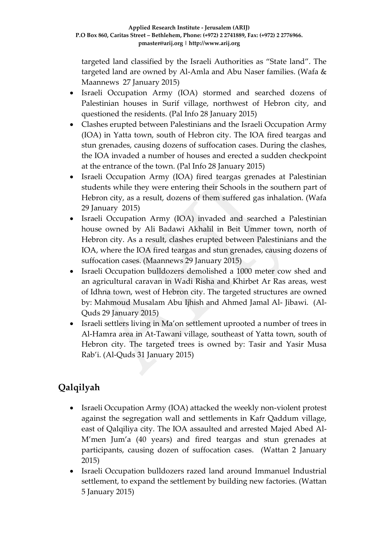targeted land classified by the Israeli Authorities as "State land". The targeted land are owned by Al-Amla and Abu Naser families. (Wafa & Maannews 27 January 2015)

- Israeli Occupation Army (IOA) stormed and searched dozens of Palestinian houses in Surif village, northwest of Hebron city, and questioned the residents. (Pal Info 28 January 2015)
- Clashes erupted between Palestinians and the Israeli Occupation Army (IOA) in Yatta town, south of Hebron city. The IOA fired teargas and stun grenades, causing dozens of suffocation cases. During the clashes, the IOA invaded a number of houses and erected a sudden checkpoint at the entrance of the town. (Pal Info 28 January 2015)
- Israeli Occupation Army (IOA) fired teargas grenades at Palestinian students while they were entering their Schools in the southern part of Hebron city, as a result, dozens of them suffered gas inhalation. (Wafa 29 January 2015)
- Israeli Occupation Army (IOA) invaded and searched a Palestinian house owned by Ali Badawi Akhalil in Beit Ummer town, north of Hebron city. As a result, clashes erupted between Palestinians and the IOA, where the IOA fired teargas and stun grenades, causing dozens of suffocation cases. (Maannews 29 January 2015)
- Israeli Occupation bulldozers demolished a 1000 meter cow shed and an agricultural caravan in Wadi Risha and Khirbet Ar Ras areas, west of Idhna town, west of Hebron city. The targeted structures are owned by: Mahmoud Musalam Abu Ijhish and Ahmed Jamal Al- Jibawi. (Al-Quds 29 January 2015)
- Israeli settlers living in Ma'on settlement uprooted a number of trees in Al-Hamra area in At-Tawani village, southeast of Yatta town, south of Hebron city. The targeted trees is owned by: Tasir and Yasir Musa Rab'i. (Al-Quds 31 January 2015)

# **Qalqilyah**

- Israeli Occupation Army (IOA) attacked the weekly non-violent protest against the segregation wall and settlements in Kafr Qaddum village, east of Qalqiliya city. The IOA assaulted and arrested Majed Abed Al-M'men Jum'a (40 years) and fired teargas and stun grenades at participants, causing dozen of suffocation cases. (Wattan 2 January 2015)
- Israeli Occupation bulldozers razed land around Immanuel Industrial settlement, to expand the settlement by building new factories. (Wattan 5 January 2015)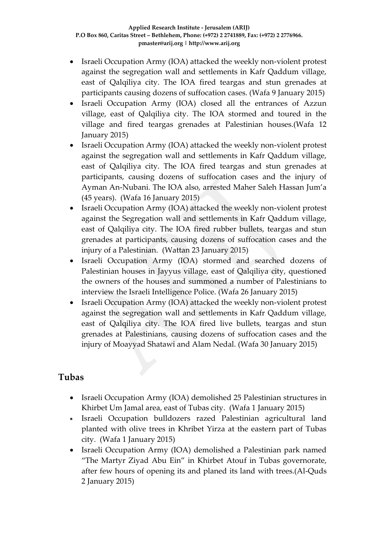- Israeli Occupation Army (IOA) attacked the weekly non-violent protest against the segregation wall and settlements in Kafr Qaddum village, east of Qalqiliya city. The IOA fired teargas and stun grenades at participants causing dozens of suffocation cases. (Wafa 9 January 2015)
- Israeli Occupation Army (IOA) closed all the entrances of Azzun village, east of Qalqiliya city. The IOA stormed and toured in the village and fired teargas grenades at Palestinian houses.(Wafa 12 January 2015)
- Israeli Occupation Army (IOA) attacked the weekly non-violent protest against the segregation wall and settlements in Kafr Qaddum village, east of Qalqiliya city. The IOA fired teargas and stun grenades at participants, causing dozens of suffocation cases and the injury of Ayman An-Nubani. The IOA also, arrested Maher Saleh Hassan Jum'a (45 years). (Wafa 16 January 2015)
- Israeli Occupation Army (IOA) attacked the weekly non-violent protest against the Segregation wall and settlements in Kafr Qaddum village, east of Qalqiliya city. The IOA fired rubber bullets, teargas and stun grenades at participants, causing dozens of suffocation cases and the injury of a Palestinian. (Wattan 23 January 2015)
- Israeli Occupation Army (IOA) stormed and searched dozens of Palestinian houses in Jayyus village, east of Qalqiliya city, questioned the owners of the houses and summoned a number of Palestinians to interview the Israeli Intelligence Police. (Wafa 26 January 2015)
- Israeli Occupation Army (IOA) attacked the weekly non-violent protest against the segregation wall and settlements in Kafr Qaddum village, east of Qalqiliya city. The IOA fired live bullets, teargas and stun grenades at Palestinians, causing dozens of suffocation cases and the injury of Moayyad Shatawi and Alam Nedal. (Wafa 30 January 2015)

# **Tubas**

- Israeli Occupation Army (IOA) demolished 25 Palestinian structures in Khirbet Um Jamal area, east of Tubas city. (Wafa 1 January 2015)
- Israeli Occupation bulldozers razed Palestinian agricultural land planted with olive trees in Khribet Yirza at the eastern part of Tubas city. (Wafa 1 January 2015)
- Israeli Occupation Army (IOA) demolished a Palestinian park named "The Martyr Ziyad Abu Ein" in Khirbet Atouf in Tubas governorate, after few hours of opening its and planed its land with trees.(Al-Quds 2 January 2015)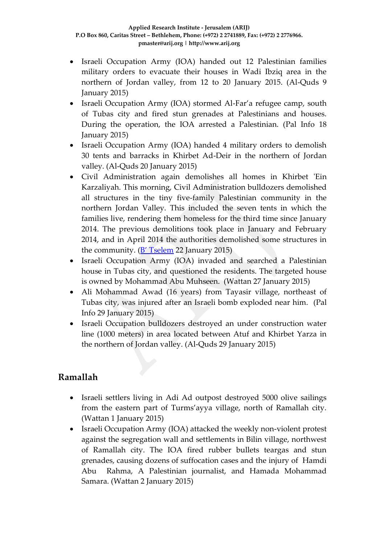- Israeli Occupation Army (IOA) handed out 12 Palestinian families military orders to evacuate their houses in Wadi Ibziq area in the northern of Jordan valley, from 12 to 20 January 2015. (Al-Quds 9 January 2015)
- Israeli Occupation Army (IOA) stormed Al-Far'a refugee camp, south of Tubas city and fired stun grenades at Palestinians and houses. During the operation, the IOA arrested a Palestinian. (Pal Info 18 January 2015)
- Israeli Occupation Army (IOA) handed 4 military orders to demolish 30 tents and barracks in Khirbet Ad-Deir in the northern of Jordan valley. (Al-Quds 20 January 2015)
- Civil Administration again demolishes all homes in Khirbet 'Ein Karzaliyah. This morning, Civil Administration bulldozers demolished all structures in the tiny five-family Palestinian community in the northern Jordan Valley. This included the seven tents in which the families live, rendering them homeless for the third time since January 2014. The previous demolitions took place in January and February 2014, and in April 2014 the authorities demolished some structures in the community.  $(B' Tselem 22 January 2015)$  $(B' Tselem 22 January 2015)$  $(B' Tselem 22 January 2015)$
- Israeli Occupation Army (IOA) invaded and searched a Palestinian house in Tubas city, and questioned the residents. The targeted house is owned by Mohammad Abu Muhseen. (Wattan 27 January 2015)
- Ali Mohammad Awad (16 years) from Tayasir village, northeast of Tubas city, was injured after an Israeli bomb exploded near him. (Pal Info 29 January 2015)
- Israeli Occupation bulldozers destroyed an under construction water line (1000 meters) in area located between Atuf and Khirbet Yarza in the northern of Jordan valley. (Al-Quds 29 January 2015)

# **Ramallah**

- Israeli settlers living in Adi Ad outpost destroyed 5000 olive sailings from the eastern part of Turms'ayya village, north of Ramallah city. (Wattan 1 January 2015)
- Israeli Occupation Army (IOA) attacked the weekly non-violent protest against the segregation wall and settlements in Bilin village, northwest of Ramallah city. The IOA fired rubber bullets teargas and stun grenades, causing dozens of suffocation cases and the injury of Hamdi Abu Rahma, A Palestinian journalist, and Hamada Mohammad Samara. (Wattan 2 January 2015)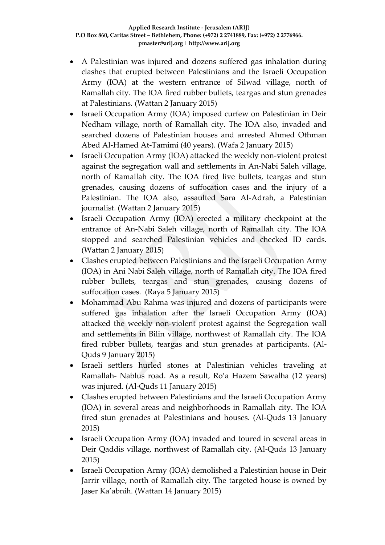- A Palestinian was injured and dozens suffered gas inhalation during clashes that erupted between Palestinians and the Israeli Occupation Army (IOA) at the western entrance of Silwad village, north of Ramallah city. The IOA fired rubber bullets, teargas and stun grenades at Palestinians. (Wattan 2 January 2015)
- Israeli Occupation Army (IOA) imposed curfew on Palestinian in Deir Nedham village, north of Ramallah city. The IOA also, invaded and searched dozens of Palestinian houses and arrested Ahmed Othman Abed Al-Hamed At-Tamimi (40 years). (Wafa 2 January 2015)
- Israeli Occupation Army (IOA) attacked the weekly non-violent protest against the segregation wall and settlements in An-Nabi Saleh village, north of Ramallah city. The IOA fired live bullets, teargas and stun grenades, causing dozens of suffocation cases and the injury of a Palestinian. The IOA also, assaulted Sara Al-Adrah, a Palestinian journalist. (Wattan 2 January 2015)
- Israeli Occupation Army (IOA) erected a military checkpoint at the entrance of An-Nabi Saleh village, north of Ramallah city. The IOA stopped and searched Palestinian vehicles and checked ID cards. (Wattan 2 January 2015)
- Clashes erupted between Palestinians and the Israeli Occupation Army (IOA) in Ani Nabi Saleh village, north of Ramallah city. The IOA fired rubber bullets, teargas and stun grenades, causing dozens of suffocation cases. (Raya 5 January 2015)
- Mohammad Abu Rahma was injured and dozens of participants were suffered gas inhalation after the Israeli Occupation Army (IOA) attacked the weekly non-violent protest against the Segregation wall and settlements in Bilin village, northwest of Ramallah city. The IOA fired rubber bullets, teargas and stun grenades at participants. (Al-Quds 9 January 2015)
- Israeli settlers hurled stones at Palestinian vehicles traveling at Ramallah- Nablus road. As a result, Ro'a Hazem Sawalha (12 years) was injured. (Al-Quds 11 January 2015)
- Clashes erupted between Palestinians and the Israeli Occupation Army (IOA) in several areas and neighborhoods in Ramallah city. The IOA fired stun grenades at Palestinians and houses. (Al-Quds 13 January 2015)
- Israeli Occupation Army (IOA) invaded and toured in several areas in Deir Qaddis village, northwest of Ramallah city. (Al-Quds 13 January 2015)
- Israeli Occupation Army (IOA) demolished a Palestinian house in Deir Jarrir village, north of Ramallah city. The targeted house is owned by Jaser Ka'abnih. (Wattan 14 January 2015)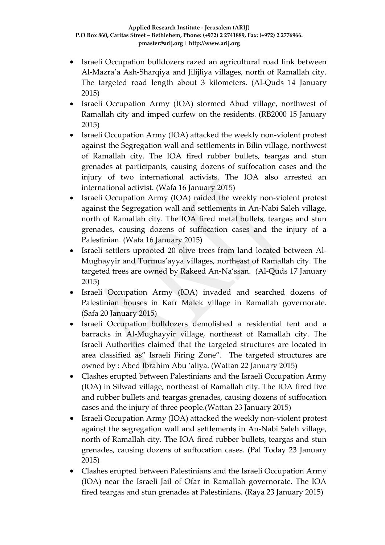- Israeli Occupation bulldozers razed an agricultural road link between Al-Mazra'a Ash-Sharqiya and Jilijliya villages, north of Ramallah city. The targeted road length about 3 kilometers. (Al-Quds 14 January 2015)
- Israeli Occupation Army (IOA) stormed Abud village, northwest of Ramallah city and imped curfew on the residents. (RB2000 15 January 2015)
- Israeli Occupation Army (IOA) attacked the weekly non-violent protest against the Segregation wall and settlements in Bilin village, northwest of Ramallah city. The IOA fired rubber bullets, teargas and stun grenades at participants, causing dozens of suffocation cases and the injury of two international activists. The IOA also arrested an international activist. (Wafa 16 January 2015)
- Israeli Occupation Army (IOA) raided the weekly non-violent protest against the Segregation wall and settlements in An-Nabi Saleh village, north of Ramallah city. The IOA fired metal bullets, teargas and stun grenades, causing dozens of suffocation cases and the injury of a Palestinian. (Wafa 16 January 2015)
- Israeli settlers uprooted 20 olive trees from land located between Al-Mughayyir and Turmus'ayya villages, northeast of Ramallah city. The targeted trees are owned by Rakeed An-Na'ssan. (Al-Quds 17 January 2015)
- Israeli Occupation Army (IOA) invaded and searched dozens of Palestinian houses in Kafr Malek village in Ramallah governorate. (Safa 20 January 2015)
- Israeli Occupation bulldozers demolished a residential tent and a barracks in Al-Mughayyir village, northeast of Ramallah city. The Israeli Authorities claimed that the targeted structures are located in area classified as" Israeli Firing Zone". The targeted structures are owned by : Abed Ibrahim Abu 'aliya. (Wattan 22 January 2015)
- Clashes erupted between Palestinians and the Israeli Occupation Army (IOA) in Silwad village, northeast of Ramallah city. The IOA fired live and rubber bullets and teargas grenades, causing dozens of suffocation cases and the injury of three people.(Wattan 23 January 2015)
- Israeli Occupation Army (IOA) attacked the weekly non-violent protest against the segregation wall and settlements in An-Nabi Saleh village, north of Ramallah city. The IOA fired rubber bullets, teargas and stun grenades, causing dozens of suffocation cases. (Pal Today 23 January 2015)
- Clashes erupted between Palestinians and the Israeli Occupation Army (IOA) near the Israeli Jail of Ofar in Ramallah governorate. The IOA fired teargas and stun grenades at Palestinians. (Raya 23 January 2015)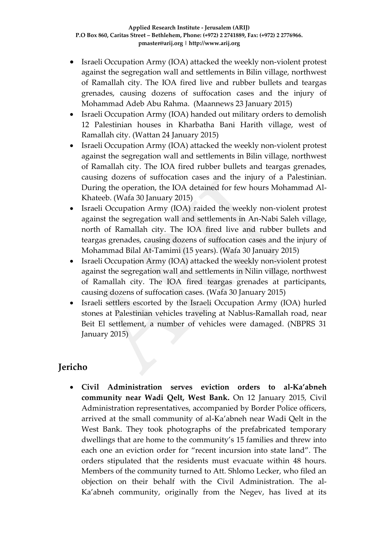- Israeli Occupation Army (IOA) attacked the weekly non-violent protest against the segregation wall and settlements in Bilin village, northwest of Ramallah city. The IOA fired live and rubber bullets and teargas grenades, causing dozens of suffocation cases and the injury of Mohammad Adeb Abu Rahma. (Maannews 23 January 2015)
- Israeli Occupation Army (IOA) handed out military orders to demolish 12 Palestinian houses in Kharbatha Bani Harith village, west of Ramallah city. (Wattan 24 January 2015)
- Israeli Occupation Army (IOA) attacked the weekly non-violent protest against the segregation wall and settlements in Bilin village, northwest of Ramallah city. The IOA fired rubber bullets and teargas grenades, causing dozens of suffocation cases and the injury of a Palestinian. During the operation, the IOA detained for few hours Mohammad Al-Khateeb. (Wafa 30 January 2015)
- Israeli Occupation Army (IOA) raided the weekly non-violent protest against the segregation wall and settlements in An-Nabi Saleh village, north of Ramallah city. The IOA fired live and rubber bullets and teargas grenades, causing dozens of suffocation cases and the injury of Mohammad Bilal At-Tamimi (15 years). (Wafa 30 January 2015)
- Israeli Occupation Army (IOA) attacked the weekly non-violent protest against the segregation wall and settlements in Nilin village, northwest of Ramallah city. The IOA fired teargas grenades at participants, causing dozens of suffocation cases. (Wafa 30 January 2015)
- Israeli settlers escorted by the Israeli Occupation Army (IOA) hurled stones at Palestinian vehicles traveling at Nablus-Ramallah road, near Beit El settlement, a number of vehicles were damaged. (NBPRS 31 January 2015)

# **Jericho**

 **Civil Administration serves eviction orders to al-Ka'abneh community near Wadi Qelt, West Bank.** On 12 January 2015, Civil Administration representatives, accompanied by Border Police officers, arrived at the small community of al-Ka'abneh near Wadi Qelt in the West Bank. They took photographs of the prefabricated temporary dwellings that are home to the community's 15 families and threw into each one an eviction order for "recent incursion into state land". The orders stipulated that the residents must evacuate within 48 hours. Members of the community turned to Att. Shlomo Lecker, who filed an objection on their behalf with the Civil Administration. The al-Ka'abneh community, originally from the Negev, has lived at its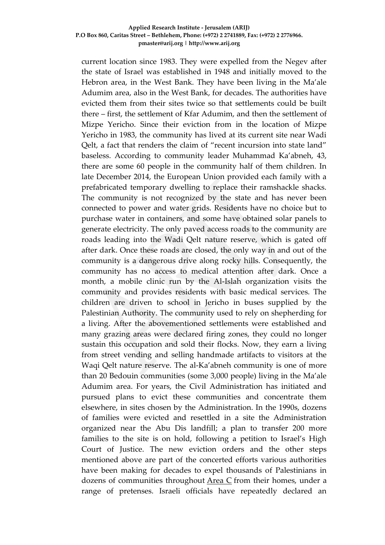current location since 1983. They were expelled from the Negev after the state of Israel was established in 1948 and initially moved to the Hebron area, in the West Bank. They have been living in the Ma'ale Adumim area, also in the West Bank, for decades. The authorities have evicted them from their sites twice so that settlements could be built there – first, the settlement of Kfar Adumim, and then the settlement of Mizpe Yericho. Since their eviction from in the location of Mizpe Yericho in 1983, the community has lived at its current site near Wadi Qelt, a fact that renders the claim of "recent incursion into state land" baseless. According to community leader Muhammad Ka'abneh, 43, there are some 60 people in the community half of them children. In late December 2014, the European Union provided each family with a prefabricated temporary dwelling to replace their ramshackle shacks. The community is not recognized by the state and has never been connected to power and water grids. Residents have no choice but to purchase water in containers, and some have obtained solar panels to generate electricity. The only paved access roads to the community are roads leading into the Wadi Qelt nature reserve, which is gated off after dark. Once these roads are closed, the only way in and out of the community is a dangerous drive along rocky hills. Consequently, the community has no access to medical attention after dark. Once a month, a mobile clinic run by the Al-Islah organization visits the community and provides residents with basic medical services. The children are driven to school in Jericho in buses supplied by the Palestinian Authority. The community used to rely on shepherding for a living. After the abovementioned settlements were established and many grazing areas were declared firing zones, they could no longer sustain this occupation and sold their flocks. Now, they earn a living from street vending and selling handmade artifacts to visitors at the Waqi Qelt nature reserve. The al-Ka'abneh community is one of more than 20 Bedouin communities (some 3,000 people) living in the Ma'ale Adumim area. For years, the Civil Administration has initiated and pursued plans to evict these communities and concentrate them elsewhere, in sites chosen by the Administration. In the 1990s, dozens of families were evicted and resettled in a site the Administration organized near the Abu Dis landfill; a plan to transfer 200 more families to the site is on hold, following a petition to Israel's High Court of Justice. The new eviction orders and the other steps mentioned above are part of the concerted efforts various authorities have been making for decades to expel thousands of Palestinians in dozens of communities throughout [Area C](http://www.btselem.org/topic/area_c) from their homes, under a range of pretenses. Israeli officials have repeatedly declared an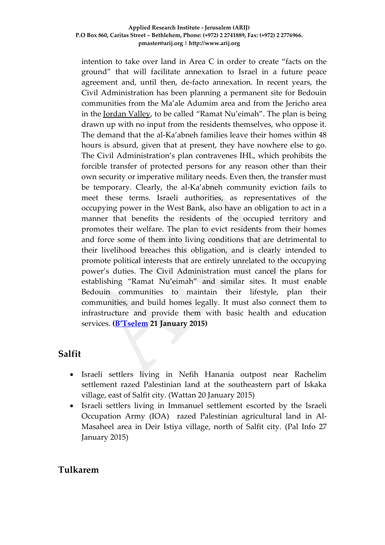intention to take over land in Area C in order to create "facts on the ground" that will facilitate annexation to Israel in a future peace agreement and, until then, de-facto annexation. In recent years, the Civil Administration has been planning a permanent site for Bedouin communities from the Ma'ale Adumim area and from the Jericho area in the [Jordan Valley](http://www.btselem.org/topic/jordan_valley), to be called "Ramat Nu'eimah". The plan is being drawn up with no input from the residents themselves, who oppose it. The demand that the al-Ka'abneh families leave their homes within 48 hours is absurd, given that at present, they have nowhere else to go. The Civil Administration's plan contravenes IHL, which prohibits the forcible transfer of protected persons for any reason other than their own security or imperative military needs. Even then, the transfer must be temporary. Clearly, the al-Ka'abneh community eviction fails to meet these terms. Israeli authorities, as representatives of the occupying power in the West Bank, also have an obligation to act in a manner that benefits the residents of the occupied territory and promotes their welfare. The plan to evict residents from their homes and force some of them into living conditions that are detrimental to their livelihood breaches this obligation, and is clearly intended to promote political interests that are entirely unrelated to the occupying power's duties. The Civil Administration must cancel the plans for establishing "Ramat Nu'eimah" and similar sites. It must enable Bedouin communities to maintain their lifestyle, plan their communities, and build homes legally. It must also connect them to infrastructure and provide them with basic health and education services. **([B'Tselem](•%09http:/www.btselem.org/planning_and_building/20150122_al_kaabneh_evacuation_orders) 21 January 2015)**

### **Salfit**

- Israeli settlers living in Nefih Hanania outpost near Rachelim settlement razed Palestinian land at the southeastern part of Iskaka village, east of Salfit city. (Wattan 20 January 2015)
- Israeli settlers living in Immanuel settlement escorted by the Israeli Occupation Army (IOA) razed Palestinian agricultural land in Al-Masaheel area in Deir Istiya village, north of Salfit city. (Pal Info 27 January 2015)

### **Tulkarem**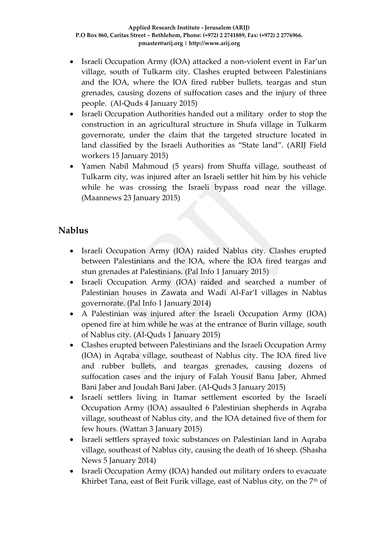- Israeli Occupation Army (IOA) attacked a non-violent event in Far'un village, south of Tulkarm city. Clashes erupted between Palestinians and the IOA, where the IOA fired rubber bullets, teargas and stun grenades, causing dozens of suffocation cases and the injury of three people. (Al-Quds 4 January 2015)
- Israeli Occupation Authorities handed out a military order to stop the construction in an agricultural structure in Shufa village in Tulkarm governorate, under the claim that the targeted structure located in land classified by the Israeli Authorities as "State land". (ARIJ Field workers 15 January 2015)
- Yamen Nabil Mahmoud (5 years) from Shuffa village, southeast of Tulkarm city, was injured after an Israeli settler hit him by his vehicle while he was crossing the Israeli bypass road near the village. (Maannews 23 January 2015)

# **Nablus**

- Israeli Occupation Army (IOA) raided Nablus city. Clashes erupted between Palestinians and the IOA, where the IOA fired teargas and stun grenades at Palestinians. (Pal Info 1 January 2015)
- Israeli Occupation Army (IOA) raided and searched a number of Palestinian houses in Zawata and Wadi Al-Far'I villages in Nablus governorate. (Pal Info 1 January 2014)
- A Palestinian was injured after the Israeli Occupation Army (IOA) opened fire at him while he was at the entrance of Burin village, south of Nablus city. (Al-Quds 1 January 2015)
- Clashes erupted between Palestinians and the Israeli Occupation Army (IOA) in Aqraba village, southeast of Nablus city. The IOA fired live and rubber bullets, and teargas grenades, causing dozens of suffocation cases and the injury of Falah Yousif Banu Jaber, Ahmed Bani Jaber and Joudah Bani Jaber. (Al-Quds 3 January 2015)
- Israeli settlers living in Itamar settlement escorted by the Israeli Occupation Army (IOA) assaulted 6 Palestinian shepherds in Aqraba village, southeast of Nablus city, and the IOA detained five of them for few hours. (Wattan 3 January 2015)
- Israeli settlers sprayed toxic substances on Palestinian land in Aqraba village, southeast of Nablus city, causing the death of 16 sheep. (Shasha News 5 January 2014)
- Israeli Occupation Army (IOA) handed out military orders to evacuate Khirbet Tana, east of Beit Furik village, east of Nablus city, on the 7<sup>th</sup> of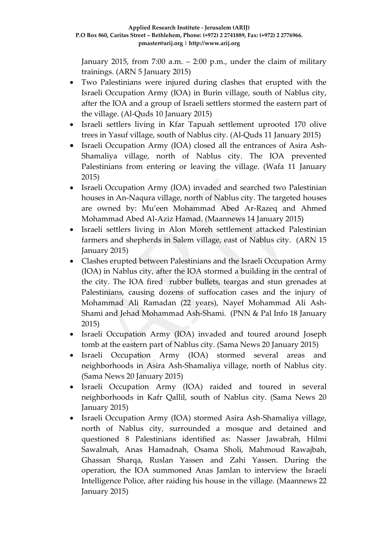January 2015, from 7:00 a.m.  $-$  2:00 p.m., under the claim of military trainings. (ARN 5 January 2015)

- Two Palestinians were injured during clashes that erupted with the Israeli Occupation Army (IOA) in Burin village, south of Nablus city, after the IOA and a group of Israeli settlers stormed the eastern part of the village. (Al-Quds 10 January 2015)
- Israeli settlers living in Kfar Tapuah settlement uprooted 170 olive trees in Yasuf village, south of Nablus city. (Al-Quds 11 January 2015)
- Israeli Occupation Army (IOA) closed all the entrances of Asira Ash-Shamaliya village, north of Nablus city. The IOA prevented Palestinians from entering or leaving the village. (Wafa 11 January 2015)
- Israeli Occupation Army (IOA) invaded and searched two Palestinian houses in An-Naqura village, north of Nablus city. The targeted houses are owned by: Mu'een Mohammad Abed Ar-Razeq and Ahmed Mohammad Abed Al-Aziz Hamad. (Maannews 14 January 2015)
- Israeli settlers living in Alon Moreh settlement attacked Palestinian farmers and shepherds in Salem village, east of Nablus city. (ARN 15 January 2015)
- Clashes erupted between Palestinians and the Israeli Occupation Army (IOA) in Nablus city, after the IOA stormed a building in the central of the city. The IOA fired rubber bullets, teargas and stun grenades at Palestinians, causing dozens of suffocation cases and the injury of Mohammad Ali Ramadan (22 years), Nayef Mohammad Ali Ash-Shami and Jehad Mohammad Ash-Shami. (PNN & Pal Info 18 January 2015)
- Israeli Occupation Army (IOA) invaded and toured around Joseph tomb at the eastern part of Nablus city. (Sama News 20 January 2015)
- Israeli Occupation Army (IOA) stormed several areas and neighborhoods in Asira Ash-Shamaliya village, north of Nablus city. (Sama News 20 January 2015)
- Israeli Occupation Army (IOA) raided and toured in several neighborhoods in Kafr Qallil, south of Nablus city. (Sama News 20 January 2015)
- Israeli Occupation Army (IOA) stormed Asira Ash-Shamaliya village, north of Nablus city, surrounded a mosque and detained and questioned 8 Palestinians identified as: Nasser Jawabrah, Hilmi Sawalmah, Anas Hamadnah, Osama Sholi, Mahmoud Rawajbah, Ghassan Sharqa, Ruslan Yassen and Zahi Yassen. During the operation, the IOA summoned Anas Jamlan to interview the Israeli Intelligence Police, after raiding his house in the village. (Maannews 22 January 2015)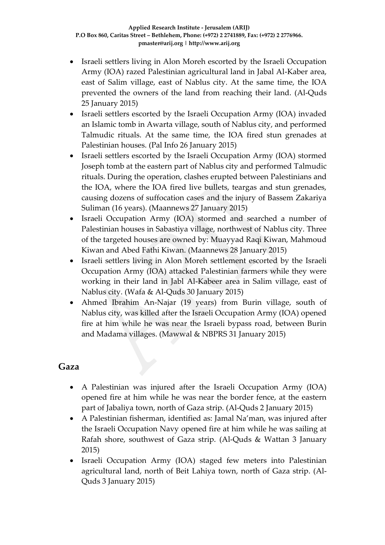- Israeli settlers living in Alon Moreh escorted by the Israeli Occupation Army (IOA) razed Palestinian agricultural land in Jabal Al-Kaber area, east of Salim village, east of Nablus city. At the same time, the IOA prevented the owners of the land from reaching their land. (Al-Quds 25 January 2015)
- Israeli settlers escorted by the Israeli Occupation Army (IOA) invaded an Islamic tomb in Awarta village, south of Nablus city, and performed Talmudic rituals. At the same time, the IOA fired stun grenades at Palestinian houses. (Pal Info 26 January 2015)
- Israeli settlers escorted by the Israeli Occupation Army (IOA) stormed Joseph tomb at the eastern part of Nablus city and performed Talmudic rituals. During the operation, clashes erupted between Palestinians and the IOA, where the IOA fired live bullets, teargas and stun grenades, causing dozens of suffocation cases and the injury of Bassem Zakariya Suliman (16 years). (Maannews 27 January 2015)
- Israeli Occupation Army (IOA) stormed and searched a number of Palestinian houses in Sabastiya village, northwest of Nablus city. Three of the targeted houses are owned by: Muayyad Raqi Kiwan, Mahmoud Kiwan and Abed Fathi Kiwan. (Maannews 28 January 2015)
- Israeli settlers living in Alon Moreh settlement escorted by the Israeli Occupation Army (IOA) attacked Palestinian farmers while they were working in their land in Jabl Al-Kabeer area in Salim village, east of Nablus city. (Wafa & Al-Quds 30 January 2015)
- Ahmed Ibrahim An-Najar (19 years) from Burin village, south of Nablus city, was killed after the Israeli Occupation Army (IOA) opened fire at him while he was near the Israeli bypass road, between Burin and Madama villages. (Mawwal & NBPRS 31 January 2015)

### **Gaza**

- A Palestinian was injured after the Israeli Occupation Army (IOA) opened fire at him while he was near the border fence, at the eastern part of Jabaliya town, north of Gaza strip. (Al-Quds 2 January 2015)
- A Palestinian fisherman, identified as: Jamal Na'man, was injured after the Israeli Occupation Navy opened fire at him while he was sailing at Rafah shore, southwest of Gaza strip. (Al-Quds & Wattan 3 January 2015)
- Israeli Occupation Army (IOA) staged few meters into Palestinian agricultural land, north of Beit Lahiya town, north of Gaza strip. (Al-Quds 3 January 2015)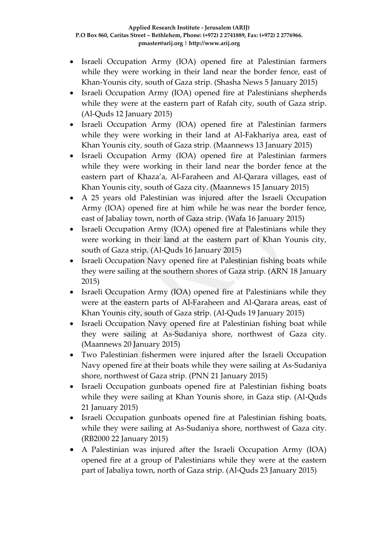- Israeli Occupation Army (IOA) opened fire at Palestinian farmers while they were working in their land near the border fence, east of Khan-Younis city, south of Gaza strip. (Shasha News 5 January 2015)
- Israeli Occupation Army (IOA) opened fire at Palestinians shepherds while they were at the eastern part of Rafah city, south of Gaza strip. (Al-Quds 12 January 2015)
- Israeli Occupation Army (IOA) opened fire at Palestinian farmers while they were working in their land at Al-Fakhariya area, east of Khan Younis city, south of Gaza strip. (Maannews 13 January 2015)
- Israeli Occupation Army (IOA) opened fire at Palestinian farmers while they were working in their land near the border fence at the eastern part of Khaza'a, Al-Faraheen and Al-Qarara villages, east of Khan Younis city, south of Gaza city. (Maannews 15 January 2015)
- A 25 years old Palestinian was injured after the Israeli Occupation Army (IOA) opened fire at him while he was near the border fence, east of Jabaliay town, north of Gaza strip. (Wafa 16 January 2015)
- Israeli Occupation Army (IOA) opened fire at Palestinians while they were working in their land at the eastern part of Khan Younis city, south of Gaza strip. (Al-Quds 16 January 2015)
- Israeli Occupation Navy opened fire at Palestinian fishing boats while they were sailing at the southern shores of Gaza strip. (ARN 18 January 2015)
- Israeli Occupation Army (IOA) opened fire at Palestinians while they were at the eastern parts of Al-Faraheen and Al-Qarara areas, east of Khan Younis city, south of Gaza strip. (Al-Quds 19 January 2015)
- Israeli Occupation Navy opened fire at Palestinian fishing boat while they were sailing at As-Sudaniya shore, northwest of Gaza city. (Maannews 20 January 2015)
- Two Palestinian fishermen were injured after the Israeli Occupation Navy opened fire at their boats while they were sailing at As-Sudaniya shore, northwest of Gaza strip. (PNN 21 January 2015)
- Israeli Occupation gunboats opened fire at Palestinian fishing boats while they were sailing at Khan Younis shore, in Gaza stip. (Al-Quds 21 January 2015)
- Israeli Occupation gunboats opened fire at Palestinian fishing boats, while they were sailing at As-Sudaniya shore, northwest of Gaza city. (RB2000 22 January 2015)
- A Palestinian was injured after the Israeli Occupation Army (IOA) opened fire at a group of Palestinians while they were at the eastern part of Jabaliya town, north of Gaza strip. (Al-Quds 23 January 2015)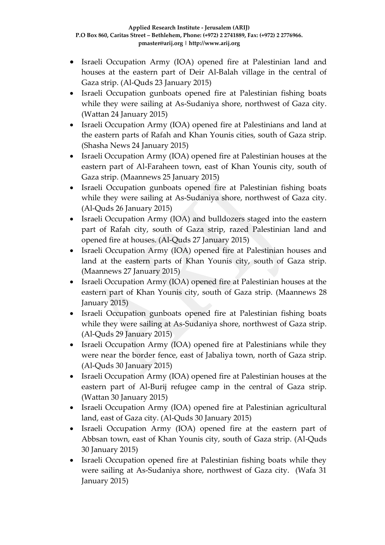- Israeli Occupation Army (IOA) opened fire at Palestinian land and houses at the eastern part of Deir Al-Balah village in the central of Gaza strip. (Al-Quds 23 January 2015)
- Israeli Occupation gunboats opened fire at Palestinian fishing boats while they were sailing at As-Sudaniya shore, northwest of Gaza city. (Wattan 24 January 2015)
- Israeli Occupation Army (IOA) opened fire at Palestinians and land at the eastern parts of Rafah and Khan Younis cities, south of Gaza strip. (Shasha News 24 January 2015)
- Israeli Occupation Army (IOA) opened fire at Palestinian houses at the eastern part of Al-Faraheen town, east of Khan Younis city, south of Gaza strip. (Maannews 25 January 2015)
- Israeli Occupation gunboats opened fire at Palestinian fishing boats while they were sailing at As-Sudaniya shore, northwest of Gaza city. (Al-Quds 26 January 2015)
- Israeli Occupation Army (IOA) and bulldozers staged into the eastern part of Rafah city, south of Gaza strip, razed Palestinian land and opened fire at houses. (Al-Quds 27 January 2015)
- Israeli Occupation Army (IOA) opened fire at Palestinian houses and land at the eastern parts of Khan Younis city, south of Gaza strip. (Maannews 27 January 2015)
- Israeli Occupation Army (IOA) opened fire at Palestinian houses at the eastern part of Khan Younis city, south of Gaza strip. (Maannews 28 January 2015)
- Israeli Occupation gunboats opened fire at Palestinian fishing boats while they were sailing at As-Sudaniya shore, northwest of Gaza strip. (Al-Quds 29 January 2015)
- Israeli Occupation Army (IOA) opened fire at Palestinians while they were near the border fence, east of Jabaliya town, north of Gaza strip. (Al-Quds 30 January 2015)
- Israeli Occupation Army (IOA) opened fire at Palestinian houses at the eastern part of Al-Burij refugee camp in the central of Gaza strip. (Wattan 30 January 2015)
- Israeli Occupation Army (IOA) opened fire at Palestinian agricultural land, east of Gaza city. (Al-Quds 30 January 2015)
- Israeli Occupation Army (IOA) opened fire at the eastern part of Abbsan town, east of Khan Younis city, south of Gaza strip. (Al-Quds 30 January 2015)
- Israeli Occupation opened fire at Palestinian fishing boats while they were sailing at As-Sudaniya shore, northwest of Gaza city. (Wafa 31 January 2015)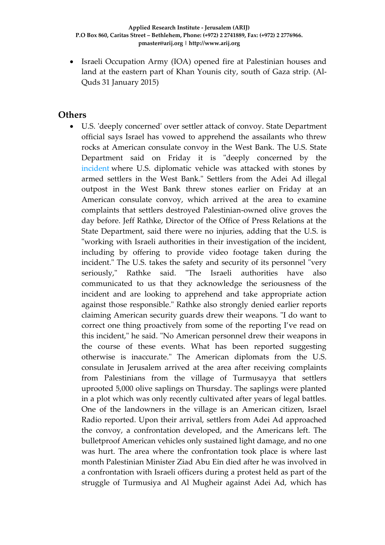• Israeli Occupation Army (IOA) opened fire at Palestinian houses and land at the eastern part of Khan Younis city, south of Gaza strip. (Al-Quds 31 January 2015)

### **Others**

 U.S. 'deeply concerned' over settler attack of convoy. State Department official says Israel has vowed to apprehend the assailants who threw rocks at American consulate convoy in the West Bank. The U.S. State Department said on Friday it is "deeply concerned by the [incident](http://www.haaretz.com/news/diplomacy-defense/.premium-1.635066) where U.S. diplomatic vehicle was attacked with stones by armed settlers in the West Bank." Settlers from the Adei Ad illegal outpost in the West Bank threw stones earlier on Friday at an American consulate convoy, which arrived at the area to examine complaints that settlers destroyed Palestinian-owned olive groves the day before. Jeff Rathke, Director of the Office of Press Relations at the State Department, said there were no injuries, adding that the U.S. is "working with Israeli authorities in their investigation of the incident, including by offering to provide video footage taken during the incident." The U.S. takes the safety and security of its personnel "very seriously," Rathke said. "The Israeli authorities have also communicated to us that they acknowledge the seriousness of the incident and are looking to apprehend and take appropriate action against those responsible." Rathke also strongly denied earlier reports claiming American security guards drew their weapons. "I do want to correct one thing proactively from some of the reporting I've read on this incident," he said. "No American personnel drew their weapons in the course of these events. What has been reported suggesting otherwise is inaccurate." The American diplomats from the U.S. consulate in Jerusalem arrived at the area after receiving complaints from Palestinians from the village of Turmusayya that settlers uprooted 5,000 olive saplings on Thursday. The saplings were planted in a plot which was only recently cultivated after years of legal battles. One of the landowners in the village is an American citizen, Israel Radio reported. Upon their arrival, settlers from Adei Ad approached the convoy, a confrontation developed, and the Americans left. The bulletproof American vehicles only sustained light damage, and no one was hurt. The area where the confrontation took place is where last month Palestinian Minister Ziad Abu Ein died after he was involved in a confrontation with Israeli officers during a protest held as part of the struggle of Turmusiya and Al Mugheir against Adei Ad, which has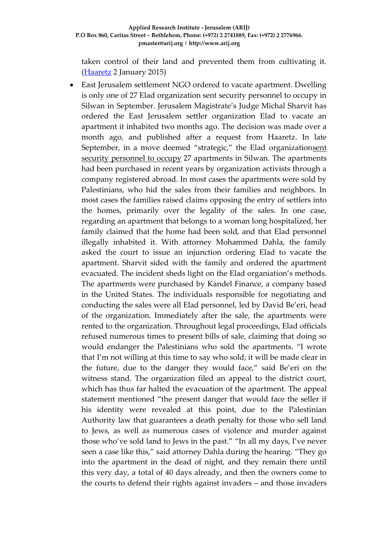taken control of their land and prevented them from cultivating it. (**Haaretz** 2 January 2015)

 East Jerusalem settlement NGO ordered to vacate apartment. Dwelling is only one of 27 Elad organization sent security personnel to occupy in Silwan in September. Jerusalem Magistrate's Judge Michal Sharvit has ordered the East Jerusalem settler organization Elad to vacate an apartment it inhabited two months ago. The decision was made over a month ago, and published after a request from Haaretz. In late September, in a move deemed "strategic," the Elad organizationsent [security personnel to occupy](http://www.haaretz.com/news/national/.premium-1.618470) 27 apartments in Silwan. The apartments had been purchased in recent years by organization activists through a company registered abroad. In most cases the apartments were sold by Palestinians, who hid the sales from their families and neighbors. In most cases the families raised claims opposing the entry of settlers into the homes, primarily over the legality of the sales. In one case, regarding an apartment that belongs to a woman long hospitalized, her family claimed that the home had been sold, and that Elad personnel illegally inhabited it. With attorney Mohammed Dahla, the family asked the court to issue an injunction ordering Elad to vacate the apartment. Sharvit sided with the family and ordered the apartment evacuated. The incident sheds light on the Elad organiation's methods. The apartments were purchased by Kandel Finance, a company based in the United States. The individuals responsible for negotiating and conducting the sales were all Elad personnel, led by David Be'eri, head of the organization. Immediately after the sale, the apartments were rented to the organization. Throughout legal proceedings, Elad officials refused numerous times to present bills of sale, claiming that doing so would endanger the Palestinians who sold the apartments. "I wrote that I'm not willing at this time to say who sold; it will be made clear in the future, due to the danger they would face," said Be'eri on the witness stand. The organization filed an appeal to the district court, which has thus far halted the evacuation of the apartment. The appeal statement mentioned "the present danger that would face the seller if his identity were revealed at this point, due to the Palestinian Authority law that guarantees a death penalty for those who sell land to Jews, as well as numerous cases of violence and murder against those who've sold land to Jews in the past." "In all my days, I've never seen a case like this," said attorney Dahla during the hearing. "They go into the apartment in the dead of night, and they remain there until this very day, a total of 40 days already, and then the owners come to the courts to defend their rights against invaders – and those invaders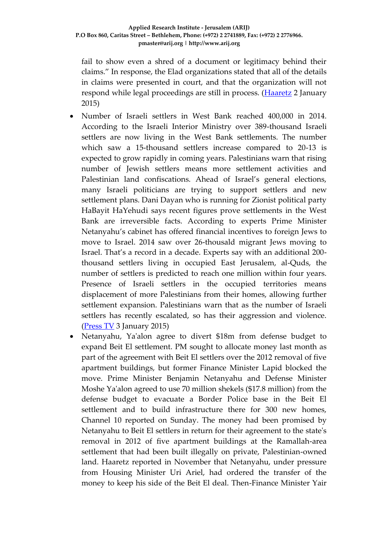fail to show even a shred of a document or legitimacy behind their claims." In response, the Elad organizations stated that all of the details in claims were presented in court, and that the organization will not respond while legal proceedings are still in process. [\(Haaretz](http://www.haaretz.com/news/diplomacy-defense/1.634812) 2 January 2015)

- Number of Israeli settlers in West Bank reached 400,000 in 2014. According to the Israeli Interior Ministry over 389-thousand Israeli settlers are now living in the West Bank settlements. The number which saw a 15-thousand settlers increase compared to 20-13 is expected to grow rapidly in coming years. Palestinians warn that rising number of Jewish settlers means more settlement activities and Palestinian land confiscations. Ahead of Israel's general elections, many Israeli politicians are trying to support settlers and new settlement plans. Dani Dayan who is running for Zionist political party HaBayit HaYehudi says recent figures prove settlements in the West Bank are irreversible facts. According to experts Prime Minister Netanyahu's cabinet has offered financial incentives to foreign Jews to move to Israel. 2014 saw over 26-thousald migrant Jews moving to Israel. That's a record in a decade. Experts say with an additional 200 thousand settlers living in occupied East Jerusalem, al-Quds, the number of settlers is predicted to reach one million within four years. Presence of Israeli settlers in the occupied territories means displacement of more Palestinians from their homes, allowing further settlement expansion. Palestinians warn that as the number of Israeli settlers has recently escalated, so has their aggression and violence. [\(Press TV](http://www.presstv.ir/Detail/2015/01/03/391471/Number-of-Israeli-settlers-in-West-Bank-reached-400000-in-2014) 3 January 2015)
- Netanyahu, Ya'alon agree to divert \$18m from defense budget to expand Beit El settlement. PM sought to allocate money last month as part of the agreement with Beit El settlers over the 2012 removal of five apartment buildings, but former Finance Minister Lapid blocked the move. Prime Minister Benjamin Netanyahu and Defense Minister Moshe Ya'alon agreed to use 70 million shekels (\$17.8 million) from the defense budget to evacuate a Border Police base in the Beit El settlement and to build infrastructure there for 300 new homes, Channel 10 reported on Sunday. The money had been promised by Netanyahu to Beit El settlers in return for their agreement to the state's removal in 2012 of five apartment buildings at the Ramallah-area settlement that had been built illegally on private, Palestinian-owned land. Haaretz reported in November that Netanyahu, under pressure from Housing Minister Uri Ariel, had ordered the transfer of the money to keep his side of the Beit El deal. Then-Finance Minister Yair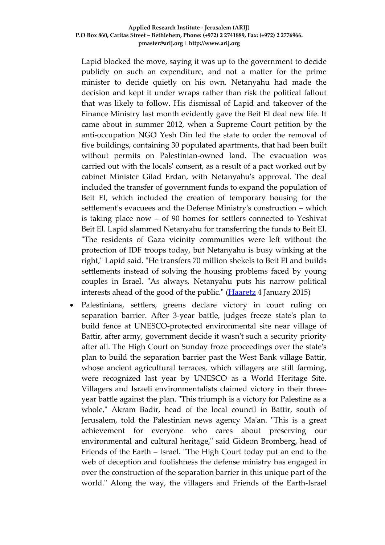Lapid blocked the move, saying it was up to the government to decide publicly on such an expenditure, and not a matter for the prime minister to decide quietly on his own. Netanyahu had made the decision and kept it under wraps rather than risk the political fallout that was likely to follow. His dismissal of Lapid and takeover of the Finance Ministry last month evidently gave the Beit El deal new life. It came about in summer 2012, when a Supreme Court petition by the anti-occupation NGO Yesh Din led the state to order the removal of five buildings, containing 30 populated apartments, that had been built without permits on Palestinian-owned land. The evacuation was carried out with the locals' consent, as a result of a pact worked out by cabinet Minister Gilad Erdan, with Netanyahu's approval. The deal included the transfer of government funds to expand the population of Beit El, which included the creation of temporary housing for the settlement's evacuees and the Defense Ministry's construction – which is taking place now – of 90 homes for settlers connected to Yeshivat Beit El. Lapid slammed Netanyahu for transferring the funds to Beit El. "The residents of Gaza vicinity communities were left without the protection of IDF troops today, but Netanyahu is busy winking at the right," Lapid said. "He transfers 70 million shekels to Beit El and builds settlements instead of solving the housing problems faced by young couples in Israel. "As always, Netanyahu puts his narrow political interests ahead of the good of the public." [\(Haaretz](http://www.haaretz.com/news/diplomacy-defense/.premium-1.635305) 4 January 2015)

 Palestinians, settlers, greens declare victory in court ruling on separation barrier. After 3-year battle, judges freeze state's plan to build fence at UNESCO-protected environmental site near village of Battir, after army, government decide it wasn't such a security priority after all. The High Court on Sunday froze proceedings over the state's plan to build the separation barrier past the West Bank village Battir, whose ancient agricultural terraces, which villagers are still farming, were recognized last year by UNESCO as a World Heritage Site. Villagers and Israeli environmentalists claimed victory in their threeyear battle against the plan. "This triumph is a victory for Palestine as a whole," Akram Badir, head of the local council in Battir, south of Jerusalem, told the Palestinian news agency Ma'an. "This is a great achievement for everyone who cares about preserving our environmental and cultural heritage," said Gideon Bromberg, head of Friends of the Earth – Israel. "The High Court today put an end to the web of deception and foolishness the defense ministry has engaged in over the construction of the separation barrier in this unique part of the world." Along the way, the villagers and Friends of the Earth-Israel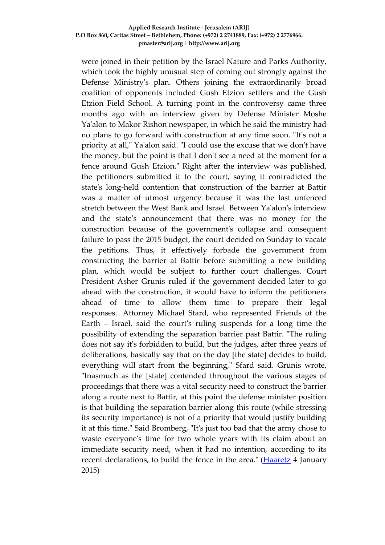were joined in their petition by the Israel Nature and Parks Authority, which took the highly unusual step of coming out strongly against the Defense Ministry's plan. Others joining the extraordinarily broad coalition of opponents included Gush Etzion settlers and the Gush Etzion Field School. A turning point in the controversy came three months ago with an interview given by Defense Minister Moshe Ya'alon to Makor Rishon newspaper, in which he said the ministry had no plans to go forward with construction at any time soon. "It's not a priority at all," Ya'alon said. "I could use the excuse that we don't have the money, but the point is that I don't see a need at the moment for a fence around Gush Etzion." Right after the interview was published, the petitioners submitted it to the court, saying it contradicted the state's long-held contention that construction of the barrier at Battir was a matter of utmost urgency because it was the last unfenced stretch between the West Bank and Israel. Between Ya'alon's interview and the state's announcement that there was no money for the construction because of the government's collapse and consequent failure to pass the 2015 budget, the court decided on Sunday to vacate the petitions. Thus, it effectively forbade the government from constructing the barrier at Battir before submitting a new building plan, which would be subject to further court challenges. Court President Asher Grunis ruled if the government decided later to go ahead with the construction, it would have to inform the petitioners ahead of time to allow them time to prepare their legal responses. Attorney Michael Sfard, who represented Friends of the Earth – Israel, said the court's ruling suspends for a long time the possibility of extending the separation barrier past Battir. "The ruling does not say it's forbidden to build, but the judges, after three years of deliberations, basically say that on the day [the state] decides to build, everything will start from the beginning," Sfard said. Grunis wrote, "Inasmuch as the [state] contended throughout the various stages of proceedings that there was a vital security need to construct the barrier along a route next to Battir, at this point the defense minister position is that building the separation barrier along this route (while stressing its security importance) is not of a priority that would justify building it at this time." Said Bromberg, "It's just too bad that the army chose to waste everyone's time for two whole years with its claim about an immediate security need, when it had no intention, according to its recent declarations, to build the fence in the area." [\(Haaretz](http://www.haaretz.com/news/diplomacy-defense/.premium-1.635293) 4 January 2015)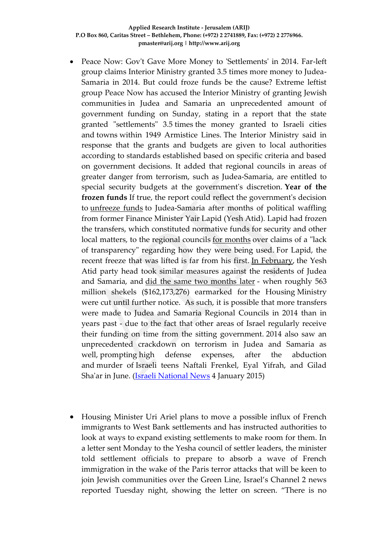- Peace Now: Gov't Gave More Money to 'Settlements' in 2014. Far-left group claims Interior Ministry granted 3.5 times more money to Judea-Samaria in 2014. But could froze funds be the cause? Extreme leftist group Peace Now has accused the Interior Ministry of granting Jewish communities in Judea and Samaria an unprecedented amount of government funding on Sunday, stating in a report that the state granted "settlements" 3.5 times the money granted to Israeli cities and towns within 1949 Armistice Lines. The Interior Ministry said in response that the grants and budgets are given to local authorities according to standards established based on specific criteria and based on government decisions. It added that regional councils in areas of greater danger from terrorism, such as Judea-Samaria, are entitled to special security budgets at the government's discretion. **Year of the frozen funds** If true, the report could reflect the government's decision to [unfreeze funds](http://www.israelnationalnews.com/News/News.aspx/188366) to Judea-Samaria after months of political waffling from former Finance Minister Yair Lapid (Yesh Atid). Lapid had frozen the transfers, which constituted normative funds for security and other local matters, to the regional councils [for months](http://www.israelnationalnews.com/News/News.aspx/176968) over claims of a "lack of transparency" regarding how they were being used. For Lapid, the recent freeze that was lifted is far from his first. [In February,](http://www.israelnationalnews.com/News/News.aspx/176968-uvmUc6U) the Yesh Atid party head took similar measures against the residents of Judea and Samaria, and [did the same two months later](http://www.israelnationalnews.com/News/News.aspx/180062-ufmUc6U) - when roughly 563 million shekels (\$162,173,276) earmarked for the Housing Ministry were cut until further notice. As such, it is possible that more transfers were made to Judea and Samaria Regional Councils in 2014 than in years past - due to the fact that other areas of Israel regularly receive their funding on time from the sitting government. 2014 also saw an unprecedented crackdown on terrorism in Judea and Samaria as well, prompting high defense expenses, after the abduction and murder of Israeli teens Naftali Frenkel, Eyal Yifrah, and Gilad Sha'ar in June. [\(Israeli National News](http://www.israelnationalnews.com/News/News.aspx/189473#.VKpEpyuUepc) 4 January 2015)
- Housing Minister Uri Ariel plans to move a possible influx of French immigrants to West Bank settlements and has instructed authorities to look at ways to expand existing settlements to make room for them. In a letter sent Monday to the Yesha council of settler leaders, the minister told settlement officials to prepare to absorb a wave of French immigration in the wake of the Paris terror attacks that will be keen to join Jewish communities over the Green Line, Israel's Channel 2 news reported Tuesday night, showing the letter on screen. "There is no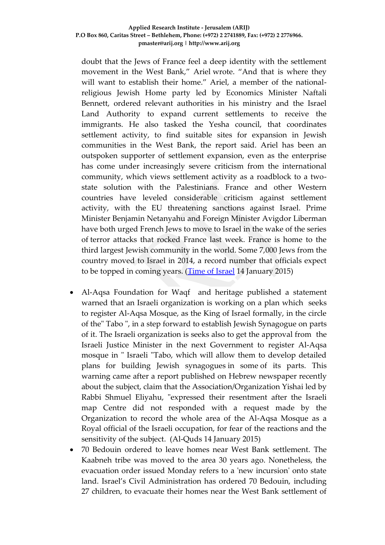doubt that the Jews of France feel a deep identity with the settlement movement in the West Bank," Ariel wrote. "And that is where they will want to establish their home." Ariel, a member of the nationalreligious Jewish Home party led by Economics Minister Naftali Bennett, ordered relevant authorities in his ministry and the Israel Land Authority to expand current settlements to receive the immigrants. He also tasked the Yesha council, that coordinates settlement activity, to find suitable sites for expansion in Jewish communities in the West Bank, the report said. Ariel has been an outspoken supporter of settlement expansion, even as the enterprise has come under increasingly severe criticism from the international community, which views settlement activity as a roadblock to a twostate solution with the Palestinians. France and other Western countries have leveled considerable criticism against settlement activity, with the EU threatening sanctions against Israel. Prime Minister Benjamin Netanyahu and Foreign Minister Avigdor Liberman have both urged French Jews to move to Israel in the wake of the series of terror attacks that rocked France last week. France is home to the third largest Jewish community in the world. Some 7,000 Jews from the country moved to Israel in 2014, a record number that officials expect to be topped in coming years. [\(Time of Israel](http://www.timesofisrael.com/minister-expand-settlements-to-absorb-french-immigrants/) 14 January 2015)

- Al-Aqsa Foundation for Waqf and heritage published a statement warned that an Israeli organization is working on a plan which seeks to register Al-Aqsa Mosque, as the King of Israel formally, in the circle of the" Tabo ", in a step forward to establish Jewish Synagogue on parts of it. The Israeli organization is seeks also to get the approval from the Israeli Justice Minister in the next Government to register Al-Aqsa mosque in " Israeli "Tabo, which will allow them to develop detailed plans for building Jewish synagogues in some of its parts. This warning came after a report published on Hebrew newspaper recently about the subject, claim that the Association/Organization Yishai led by Rabbi Shmuel Eliyahu, "expressed their resentment after the Israeli map Centre did not responded with a request made by the Organization to record the whole area of the Al-Aqsa Mosque as a Royal official of the Israeli occupation, for fear of the reactions and the sensitivity of the subject. (Al-Quds 14 January 2015)
- 70 Bedouin ordered to leave homes near West Bank settlement. The Kaabneh tribe was moved to the area 30 years ago. Nonetheless, the evacuation order issued Monday refers to a 'new incursion' onto state land. Israel's Civil Administration has ordered 70 Bedouin, including 27 children, to evacuate their homes near the West Bank settlement of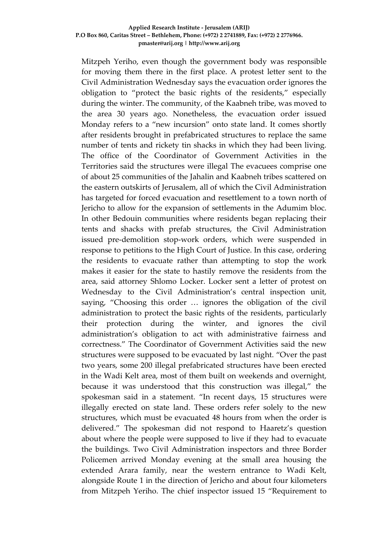Mitzpeh Yeriho, even though the government body was responsible for moving them there in the first place. A protest letter sent to the Civil Administration Wednesday says the evacuation order ignores the obligation to "protect the basic rights of the residents," especially during the winter. The community, of the Kaabneh tribe, was moved to the area 30 years ago. Nonetheless, the evacuation order issued Monday refers to a "new incursion" onto state land. It comes shortly after residents brought in prefabricated structures to replace the same number of tents and rickety tin shacks in which they had been living. The office of the Coordinator of Government Activities in the Territories said the structures were illegal The evacuees comprise one of about 25 communities of the Jahalin and Kaabneh tribes scattered on the eastern outskirts of Jerusalem, all of which the Civil Administration has targeted for forced evacuation and resettlement to a town north of Jericho to allow for the expansion of settlements in the Adumim bloc. In other Bedouin communities where residents began replacing their tents and shacks with prefab structures, the Civil Administration issued pre-demolition stop-work orders, which were suspended in response to petitions to the High Court of Justice. In this case, ordering the residents to evacuate rather than attempting to stop the work makes it easier for the state to hastily remove the residents from the area, said attorney Shlomo Locker. Locker sent a letter of protest on Wednesday to the Civil Administration's central inspection unit, saying, "Choosing this order … ignores the obligation of the civil administration to protect the basic rights of the residents, particularly their protection during the winter, and ignores the civil administration's obligation to act with administrative fairness and correctness." The Coordinator of Government Activities said the new structures were supposed to be evacuated by last night. "Over the past two years, some 200 illegal prefabricated structures have been erected in the Wadi Kelt area, most of them built on weekends and overnight, because it was understood that this construction was illegal," the spokesman said in a statement. "In recent days, 15 structures were illegally erected on state land. These orders refer solely to the new structures, which must be evacuated 48 hours from when the order is delivered." The spokesman did not respond to Haaretz's question about where the people were supposed to live if they had to evacuate the buildings. Two Civil Administration inspectors and three Border Policemen arrived Monday evening at the small area housing the extended Arara family, near the western entrance to Wadi Kelt, alongside Route 1 in the direction of Jericho and about four kilometers from Mitzpeh Yeriho. The chief inspector issued 15 "Requirement to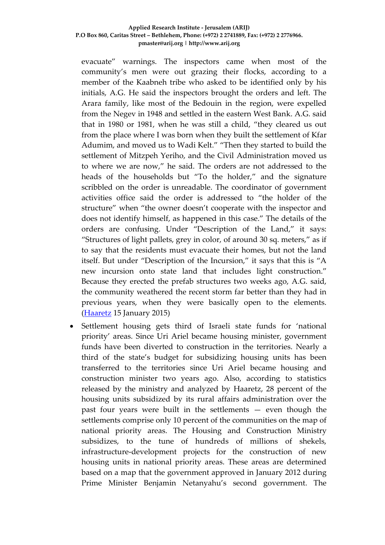evacuate" warnings. The inspectors came when most of the community's men were out grazing their flocks, according to a member of the Kaabneh tribe who asked to be identified only by his initials, A.G. He said the inspectors brought the orders and left. The Arara family, like most of the Bedouin in the region, were expelled from the Negev in 1948 and settled in the eastern West Bank. A.G. said that in 1980 or 1981, when he was still a child, "they cleared us out from the place where I was born when they built the settlement of Kfar Adumim, and moved us to Wadi Kelt." "Then they started to build the settlement of Mitzpeh Yeriho, and the Civil Administration moved us to where we are now," he said. The orders are not addressed to the heads of the households but "To the holder," and the signature scribbled on the order is unreadable. The coordinator of government activities office said the order is addressed to "the holder of the structure" when "the owner doesn't cooperate with the inspector and does not identify himself, as happened in this case." The details of the orders are confusing. Under "Description of the Land," it says: "Structures of light pallets, grey in color, of around 30 sq. meters," as if to say that the residents must evacuate their homes, but not the land itself. But under "Description of the Incursion," it says that this is "A new incursion onto state land that includes light construction." Because they erected the prefab structures two weeks ago, A.G. said, the community weathered the recent storm far better than they had in previous years, when they were basically open to the elements. [\(Haaretz](http://www.haaretz.com/news/national/.premium-1.637152) 15 January 2015)

 Settlement housing gets third of Israeli state funds for 'national priority' areas. Since Uri Ariel became housing minister, government funds have been diverted to construction in the territories. Nearly a third of the state's budget for subsidizing housing units has been transferred to the territories since Uri Ariel became housing and construction minister two years ago. Also, according to statistics released by the ministry and analyzed by Haaretz, 28 percent of the housing units subsidized by its rural affairs administration over the past four years were built in the settlements — even though the settlements comprise only 10 percent of the communities on the map of national priority areas. The Housing and Construction Ministry subsidizes, to the tune of hundreds of millions of shekels, infrastructure-development projects for the construction of new housing units in national priority areas. These areas are determined based on a map that the government approved in January 2012 during Prime Minister Benjamin Netanyahu's second government. The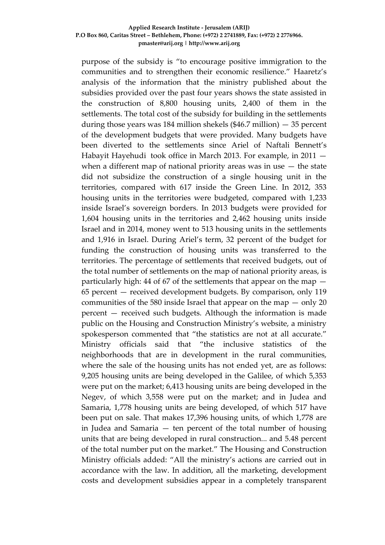purpose of the subsidy is "to encourage positive immigration to the communities and to strengthen their economic resilience." Haaretz's analysis of the information that the ministry published about the subsidies provided over the past four years shows the state assisted in the construction of 8,800 housing units, 2,400 of them in the settlements. The total cost of the subsidy for building in the settlements during those years was 184 million shekels  $(\$46.7$  million)  $-35$  percent of the development budgets that were provided. Many budgets have been diverted to the settlements since Ariel of Naftali Bennett's Habayit Hayehudi took office in March 2013. For example, in 2011 when a different map of national priority areas was in use  $-$  the state did not subsidize the construction of a single housing unit in the territories, compared with 617 inside the Green Line. In 2012, 353 housing units in the territories were budgeted, compared with 1,233 inside Israel's sovereign borders. In 2013 budgets were provided for 1,604 housing units in the territories and 2,462 housing units inside Israel and in 2014, money went to 513 housing units in the settlements and 1,916 in Israel. During Ariel's term, 32 percent of the budget for funding the construction of housing units was transferred to the territories. The percentage of settlements that received budgets, out of the total number of settlements on the map of national priority areas, is particularly high: 44 of 67 of the settlements that appear on the map — 65 percent — received development budgets. By comparison, only 119 communities of the 580 inside Israel that appear on the map  $-$  only 20 percent — received such budgets. Although the information is made public on the Housing and Construction Ministry's website, a ministry spokesperson commented that "the statistics are not at all accurate." Ministry officials said that "the inclusive statistics of the neighborhoods that are in development in the rural communities, where the sale of the housing units has not ended yet, are as follows: 9,205 housing units are being developed in the Galilee, of which 5,353 were put on the market; 6,413 housing units are being developed in the Negev, of which 3,558 were put on the market; and in Judea and Samaria, 1,778 housing units are being developed, of which 517 have been put on sale. That makes 17,396 housing units, of which 1,778 are in Judea and Samaria — ten percent of the total number of housing units that are being developed in rural construction... and 5.48 percent of the total number put on the market." The Housing and Construction Ministry officials added: "All the ministry's actions are carried out in accordance with the law. In addition, all the marketing, development costs and development subsidies appear in a completely transparent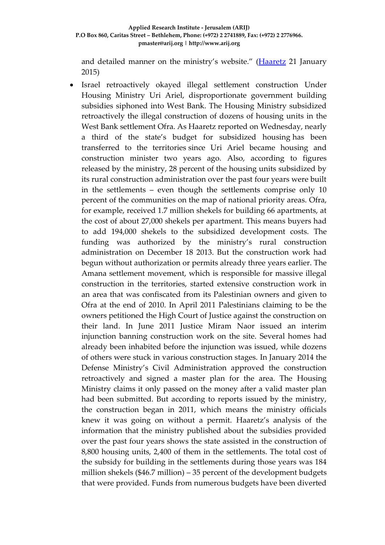and detailed manner on the ministry's website." [\(Haaretz](http://www.haaretz.com/news/national/.premium-1.638265) 21 January 2015)

 Israel retroactively okayed illegal settlement construction Under Housing Ministry Uri Ariel, disproportionate government building subsidies siphoned into West Bank. The Housing Ministry subsidized retroactively the illegal construction of dozens of housing units in the West Bank settlement Ofra. As Haaretz reported on Wednesday, nearly a third of the state's budget for subsidized housing [has been](http://www.haaretz.com/news/national/.premium-1.638265)  [transferred to the territories](http://www.haaretz.com/news/national/.premium-1.638265) since Uri Ariel became housing and construction minister two years ago. Also, according to figures released by the ministry, 28 percent of the housing units subsidized by its rural construction administration over the past four years were built in the settlements – even though the settlements comprise only 10 percent of the communities on the map of national priority areas. Ofra, for example, received 1.7 million shekels for building 66 apartments, at the cost of about 27,000 shekels per apartment. This means buyers had to add 194,000 shekels to the subsidized development costs. The funding was authorized by the ministry's rural construction administration on December 18 2013. But the construction work had begun without authorization or permits already three years earlier. The Amana settlement movement, which is responsible for massive illegal construction in the territories, started extensive construction work in an area that was confiscated from its Palestinian owners and given to Ofra at the end of 2010. In April 2011 Palestinians claiming to be the owners petitioned the High Court of Justice against the construction on their land. In June 2011 Justice Miram Naor issued an interim injunction banning construction work on the site. Several homes had already been inhabited before the injunction was issued, while dozens of others were stuck in various construction stages. In January 2014 the Defense Ministry's Civil Administration approved the construction retroactively and signed a master plan for the area. The Housing Ministry claims it only passed on the money after a valid master plan had been submitted. But according to reports issued by the ministry, the construction began in 2011, which means the ministry officials knew it was going on without a permit. Haaretz's analysis of the information that the ministry published about the subsidies provided over the past four years shows the state assisted in the construction of 8,800 housing units, 2,400 of them in the settlements. The total cost of the subsidy for building in the settlements during those years was 184 million shekels (\$46.7 million) – 35 percent of the development budgets that were provided. Funds from numerous budgets have been diverted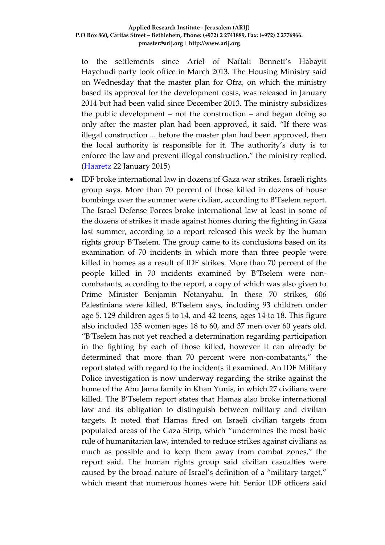to the settlements since Ariel of Naftali Bennett's Habayit Hayehudi party took office in March 2013. The Housing Ministry said on Wednesday that the master plan for Ofra, on which the ministry based its approval for the development costs, was released in January 2014 but had been valid since December 2013. The ministry subsidizes the public development – not the construction – and began doing so only after the master plan had been approved, it said. "If there was illegal construction ... before the master plan had been approved, then the local authority is responsible for it. The authority's duty is to enforce the law and prevent illegal construction," the ministry replied. [\(Haaretz](http://www.haaretz.com/news/national/.premium-1.638388) 22 January 2015)

 IDF broke international law in dozens of Gaza war strikes, Israeli rights group says. More than 70 percent of those killed in dozens of house bombings over the summer were civlian, according to B'Tselem report. The Israel Defense Forces broke international law at least in some of the dozens of strikes it made against homes during the fighting in Gaza last summer, according to a report released this week by the human rights group B'Tselem. The group came to its conclusions based on its examination of 70 incidents in which more than three people were killed in homes as a result of IDF strikes. More than 70 percent of the people killed in 70 incidents examined by B'Tselem were noncombatants, according to the report, a copy of which was also given to Prime Minister Benjamin Netanyahu. In these 70 strikes, 606 Palestinians were killed, B'Tselem says, including 93 children under age 5, 129 children ages 5 to 14, and 42 teens, ages 14 to 18. This figure also included 135 women ages 18 to 60, and 37 men over 60 years old. "B'Tselem has not yet reached a determination regarding participation in the fighting by each of those killed, however it can already be determined that more than 70 percent were non-combatants," the report stated with regard to the incidents it examined. An IDF Military Police investigation is now underway regarding the strike against the home of the Abu Jama family in Khan Yunis, in which 27 civilians were killed. The B'Tselem report states that Hamas also broke international law and its obligation to distinguish between military and civilian targets. It noted that Hamas fired on Israeli civilian targets from populated areas of the Gaza Strip, which "undermines the most basic rule of humanitarian law, intended to reduce strikes against civilians as much as possible and to keep them away from combat zones," the report said. The human rights group said civilian casualties were caused by the broad nature of Israel's definition of a "military target," which meant that numerous homes were hit. Senior IDF officers said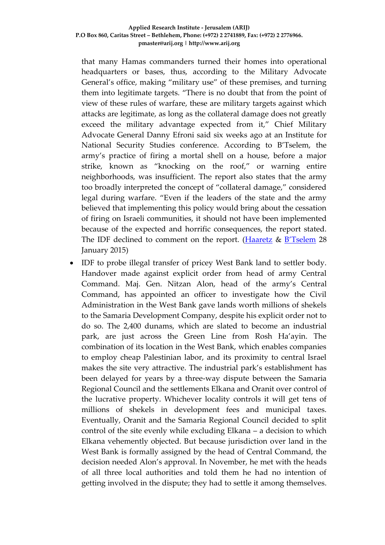that many Hamas commanders turned their homes into operational headquarters or bases, thus, according to the Military Advocate General's office, making "military use" of these premises, and turning them into legitimate targets. "There is no doubt that from the point of view of these rules of warfare, these are military targets against which attacks are legitimate, as long as the collateral damage does not greatly exceed the military advantage expected from it," Chief Military Advocate General Danny Efroni said six weeks ago at an Institute for National Security Studies conference. According to B'Tselem, the army's practice of firing a mortal shell on a house, before a major strike, known as "knocking on the roof," or warning entire neighborhoods, was insufficient. The report also states that the army too broadly interpreted the concept of "collateral damage," considered legal during warfare. "Even if the leaders of the state and the army believed that implementing this policy would bring about the cessation of firing on Israeli communities, it should not have been implemented because of the expected and horrific consequences, the report stated. The IDF declined to comment on the report. [\(Haaretz](http://www.haaretz.com/news/diplomacy-defense/1.639462) & [B'Tselem](http://www.btselem.org/publications/summaries/201501_black_flag) 28 January 2015)

 IDF to probe illegal transfer of pricey West Bank land to settler body. Handover made against explicit order from head of army Central Command. Maj. Gen. Nitzan Alon, head of the army's Central Command, has appointed an officer to investigate how the Civil Administration in the West Bank gave lands worth millions of shekels to the Samaria Development Company, despite his explicit order not to do so. The 2,400 dunams, which are slated to become an industrial park, are just across the Green Line from Rosh Ha'ayin. The combination of its location in the West Bank, which enables companies to employ cheap Palestinian labor, and its proximity to central Israel makes the site very attractive. The industrial park's establishment has been delayed for years by a three-way dispute between the Samaria Regional Council and the settlements Elkana and Oranit over control of the lucrative property. Whichever locality controls it will get tens of millions of shekels in development fees and municipal taxes. Eventually, Oranit and the Samaria Regional Council decided to split control of the site evenly while excluding Elkana – a decision to which Elkana vehemently objected. But because jurisdiction over land in the West Bank is formally assigned by the head of Central Command, the decision needed Alon's approval. In November, he met with the heads of all three local authorities and told them he had no intention of getting involved in the dispute; they had to settle it among themselves.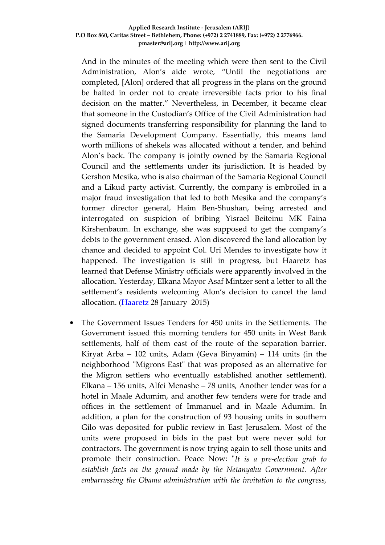And in the minutes of the meeting which were then sent to the Civil Administration, Alon's aide wrote, "Until the negotiations are completed, [Alon] ordered that all progress in the plans on the ground be halted in order not to create irreversible facts prior to his final decision on the matter." Nevertheless, in December, it became clear that someone in the Custodian's Office of the Civil Administration had signed documents transferring responsibility for planning the land to the Samaria Development Company. Essentially, this means land worth millions of shekels was allocated without a tender, and behind Alon's back. The company is jointly owned by the Samaria Regional Council and the settlements under its jurisdiction. It is headed by Gershon Mesika, who is also chairman of the Samaria Regional Council and a Likud party activist. Currently, the company is embroiled in a major fraud investigation that led to both Mesika and the company's former director general, Haim Ben-Shushan, being arrested and interrogated on suspicion of bribing Yisrael Beiteinu MK Faina Kirshenbaum. In exchange, she was supposed to get the company's debts to the government erased. Alon discovered the land allocation by chance and decided to appoint Col. Uri Mendes to investigate how it happened. The investigation is still in progress, but Haaretz has learned that Defense Ministry officials were apparently involved in the allocation. Yesterday, Elkana Mayor Asaf Mintzer sent a letter to all the settlement's residents welcoming Alon's decision to cancel the land allocation. [\(Haaretz](http://www.haaretz.com/news/diplomacy-defense/1.639443) 28 January 2015)

 The Government Issues Tenders for 450 units in the Settlements. The Government issued this morning tenders for 450 units in West Bank settlements, half of them east of the route of the separation barrier. Kiryat Arba – 102 units, Adam (Geva Binyamin) – 114 units (in the neighborhood "Migrons East" that was proposed as an alternative for the Migron settlers who eventually established another settlement). Elkana – 156 units, Alfei Menashe – 78 units, Another tender was for a hotel in Maale Adumim, and another few tenders were for trade and offices in the settlement of Immanuel and in Maale Adumim. In addition, a plan for the construction of 93 housing units in southern Gilo was deposited for public review in East Jerusalem. Most of the units were proposed in bids in the past but were never sold for contractors. The government is now trying again to sell those units and promote their construction. Peace Now: "*It is a pre-election grab to establish facts on the ground made by the Netanyahu Government. After embarrassing the Obama administration with the invitation to the congress,*